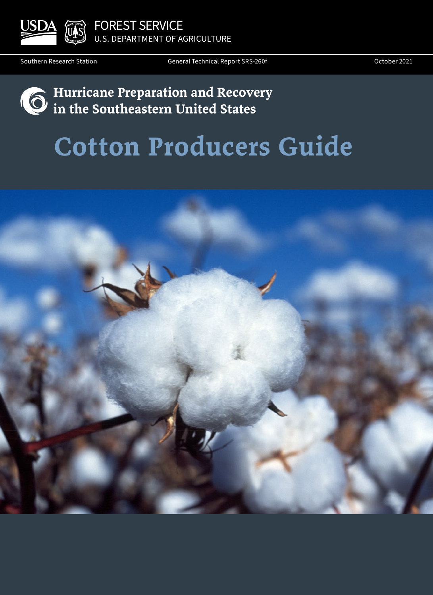

FOREST SERVICE U.S. DEPARTMENT OF AGRICULTURE

Southern Research Station

General Technical Report SRS-260f Contract Control of Case of Coronave Coronave Coronave Coronave Coronave Co

## **Hurricane Preparation and Recovery in the Southeastern United States**

# **Cotton Producers Guide**

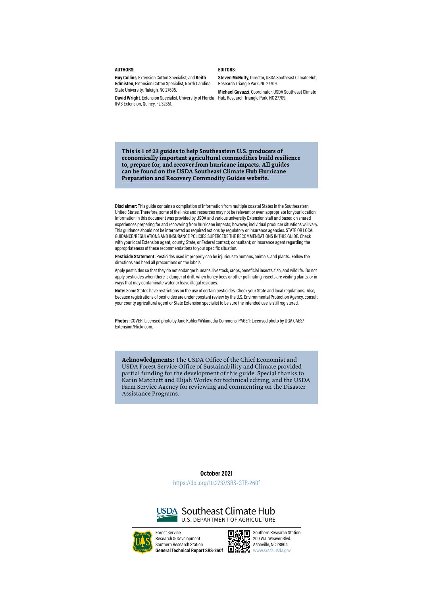#### **AUTHORS:**

**Guy Collins**, Extension Cotton Specialist, and **Keith Edmisten**, Extension Cotton Specialist, North Carolina State University, Raleigh, NC 27695.

**David Wright**, Extension Specialist, University of Florida Hub, Research Triangle Park, NC 27709. IFAS Extension, Quincy, FL 32351.

#### **EDITORS**:

**Steven McNulty**, Director, USDA Southeast Climate Hub, Research Triangle Park, NC 27709.

**Michael Gavazzi**, Coordinator, USDA Southeast Climate

**This is 1 of 23 guides to help Southeastern U.S. producers of economically important agricultural commodities build resilience to, prepare for, and recover from hurricane impacts. All guides can be found on the USDA Southeast Climate Hub [Hurricane](https://www.climatehubs.usda.gov/hubs/southeast/topic/hurricane-preparation-and-recovery-southeast-us)  [Preparation and Recovery Commodity Guides website.](https://www.climatehubs.usda.gov/hubs/southeast/topic/hurricane-preparation-and-recovery-southeast-us)**

**Disclaimer:** This guide contains a compilation of information from multiple coastal States in the Southeastern United States. Therefore, some of the links and resources may not be relevant or even appropriate for your location. Information in this document was provided by USDA and various university Extension staff and based on shared experiences preparing for and recovering from hurricane impacts; however, individual producer situations will vary. This guidance should not be interpreted as required actions by regulatory or insurance agencies. STATE OR LOCAL GUIDANCE/REGULATIONS AND INSURANCE POLICIES SUPERCEDE THE RECOMMENDATIONS IN THIS GUIDE. Check with your local Extension agent; county, State, or Federal contact; consultant; or insurance agent regarding the appropriateness of these recommendations to your specific situation.

**Pesticide Statement:** Pesticides used improperly can be injurious to humans, animals, and plants. Follow the directions and heed all precautions on the labels.

Apply pesticides so that they do not endanger humans, livestock, crops, beneficial insects, fish, and wildlife. Do not apply pesticides when there is danger of drift, when honey bees or other pollinating insects are visiting plants, or in ways that may contaminate water or leave illegal residues.

**Note:** Some States have restrictions on the use of certain pesticides. Check your State and local regulations. Also, because registrations of pesticides are under constant review by the U.S. Environmental Protection Agency, consult your county agricultural agent or State Extension specialist to be sure the intended use is still registered.

**Photos:** COVER: Licensed photo by Jane Kahler/Wikimedia Commons. PAGE 1: Licensed photo by UGA CAES/ Extension/Flickr.com.

**Acknowledgments:** The USDA Office of the Chief Economist and USDA Forest Service Office of Sustainability and Climate provided partial funding for the development of this guide. Special thanks to Karin Matchett and Elijah Worley for technical editing, and the USDA Farm Service Agency for reviewing and commenting on the Disaster Assistance Programs.

#### **October 2021**

https://doi.org/10.2737/SRS-GTR-260f





Forest Service Research & Development Southern Research Station **General Technical Report SRS-260f** 



200 W.T. Weaver Blvd. Asheville, NC 28804 www.srs.fs.usda.gov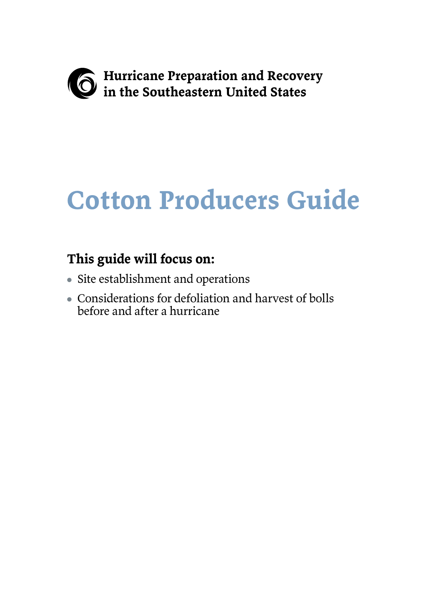

# **Cotton Producers Guide**

## **This guide will focus on:**

- Site establishment and operations
- Considerations for defoliation and harvest of bolls before and after a hurricane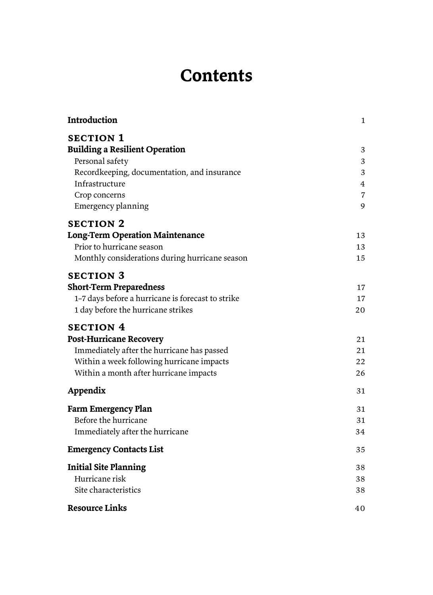## **Contents**

| Introduction                                      | $\mathbf{1}$   |
|---------------------------------------------------|----------------|
| <b>SECTION 1</b>                                  |                |
| <b>Building a Resilient Operation</b>             | 3              |
| Personal safety                                   | 3              |
| Recordkeeping, documentation, and insurance       | 3              |
| Infrastructure                                    | $\overline{4}$ |
| Crop concerns                                     | $\overline{7}$ |
| Emergency planning                                | 9              |
| <b>SECTION 2</b>                                  |                |
| <b>Long-Term Operation Maintenance</b>            | 13             |
| Prior to hurricane season                         | 13             |
| Monthly considerations during hurricane season    | 15             |
| <b>SECTION 3</b>                                  |                |
| <b>Short-Term Preparedness</b>                    | 17             |
| 1-7 days before a hurricane is forecast to strike | 17             |
| 1 day before the hurricane strikes                | 20             |
| <b>SECTION 4</b>                                  |                |
| <b>Post-Hurricane Recovery</b>                    | 21             |
| Immediately after the hurricane has passed        | 21             |
| Within a week following hurricane impacts         | 22             |
| Within a month after hurricane impacts            | 26             |
| Appendix                                          | 31             |
| <b>Farm Emergency Plan</b>                        | 31             |
| Before the hurricane                              | 31             |
| Immediately after the hurricane                   | 34             |
| <b>Emergency Contacts List</b>                    | 35             |
| <b>Initial Site Planning</b>                      | 38             |
| Hurricane risk                                    | 38             |
| Site characteristics                              | 38             |
| <b>Resource Links</b>                             | 40             |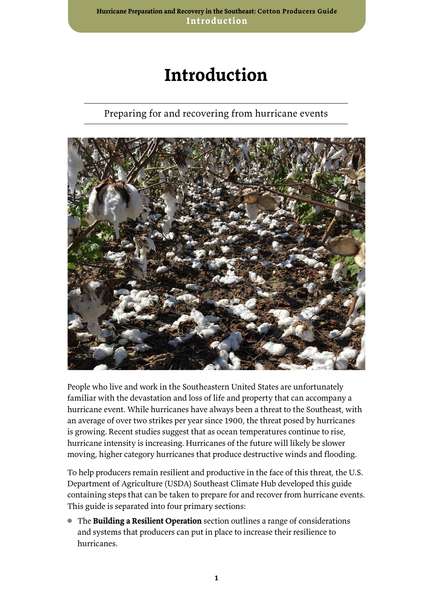## **Introduction**

### Preparing for and recovering from hurricane events

<span id="page-4-0"></span>

People who live and work in the Southeastern United States are unfortunately familiar with the devastation and loss of life and property that can accompany a hurricane event. While hurricanes have always been a threat to the Southeast, with an average of over two strikes per year since 1900, the threat posed by hurricanes is growing. Recent studies suggest that as ocean temperatures continue to rise, hurricane intensity is increasing. Hurricanes of the future will likely be slower moving, higher category hurricanes that produce destructive winds and flooding.

To help producers remain resilient and productive in the face of this threat, the U.S. Department of Agriculture (USDA) Southeast Climate Hub developed this guide containing steps that can be taken to prepare for and recover from hurricane events. This guide is separated into four primary sections:

● The **Building a Resilient Operation** section outlines a range of considerations and systems that producers can put in place to increase their resilience to hurricanes.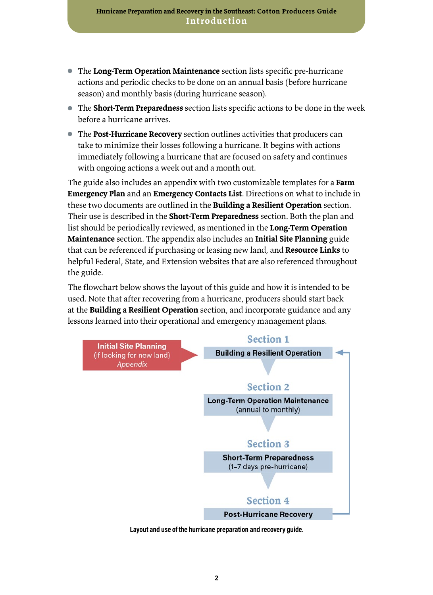- The **Long-Term Operation Maintenance** section lists specific pre-hurricane actions and periodic checks to be done on an annual basis (before hurricane season) and monthly basis (during hurricane season).
- The **Short-Term Preparedness** section lists specific actions to be done in the week before a hurricane arrives.
- The **Post-Hurricane Recovery** section outlines activities that producers can take to minimize their losses following a hurricane. It begins with actions immediately following a hurricane that are focused on safety and continues with ongoing actions a week out and a month out.

The guide also includes an appendix with two customizable templates for a **Farm Emergency Plan** and an **Emergency Contacts List**. Directions on what to include in these two documents are outlined in the **Building a Resilient Operation** section. Their use is described in the **Short-Term Preparedness** section. Both the plan and list should be periodically reviewed, as mentioned in the **Long-Term Operation Maintenance** section. The appendix also includes an **Initial Site Planning** guide that can be referenced if purchasing or leasing new land, and **Resource Links** to helpful Federal, State, and Extension websites that are also referenced throughout the guide.

The flowchart below shows the layout of this guide and how it is intended to be used. Note that after recovering from a hurricane, producers should start back at the **Building a Resilient Operation** section, and incorporate guidance and any lessons learned into their operational and emergency management plans.



**Layout and use of the hurricane preparation and recovery guide.**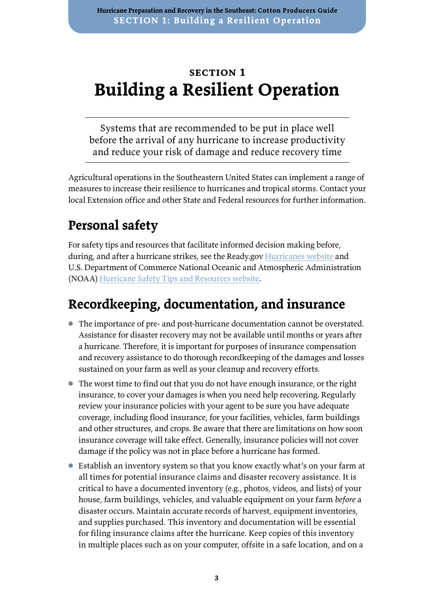## <span id="page-6-0"></span>**section 1 Building a Resilient Operation**

Systems that are recommended to be put in place well before the arrival of any hurricane to increase productivity and reduce your risk of damage and reduce recovery time

Agricultural operations in the Southeastern United States can implement a range of measures to increase their resilience to hurricanes and tropical storms. Contact your local Extension office and other State and Federal resources for further information.

## **Personal safety**

For safety tips and resources that facilitate informed decision making before, during, and after a hurricane strikes, see the Ready.gov [Hurricanes website](https://www.ready.gov/hurricanes) and U.S. Department of Commerce National Oceanic and Atmospheric Administration (NOAA) [Hurricane Safety Tips and Resources website.](https://www.weather.gov/safety/hurricane)

## **Recordkeeping, documentation, and insurance**

- The importance of pre- and post-hurricane documentation cannot be overstated. Assistance for disaster recovery may not be available until months or years after a hurricane. Therefore, it is important for purposes of insurance compensation and recovery assistance to do thorough recordkeeping of the damages and losses sustained on your farm as well as your cleanup and recovery efforts.
- The worst time to find out that you do not have enough insurance, or the right insurance, to cover your damages is when you need help recovering. Regularly review your insurance policies with your agent to be sure you have adequate coverage, including flood insurance, for your facilities, vehicles, farm buildings and other structures, and crops. Be aware that there are limitations on how soon insurance coverage will take effect. Generally, insurance policies will not cover damage if the policy was not in place before a hurricane has formed.
- Establish an inventory system so that you know exactly what's on your farm at all times for potential insurance claims and disaster recovery assistance. It is critical to have a documented inventory (e.g., photos, videos, and lists) of your house, farm buildings, vehicles, and valuable equipment on your farm *before* a disaster occurs. Maintain accurate records of harvest, equipment inventories, and supplies purchased. This inventory and documentation will be essential for filing insurance claims after the hurricane. Keep copies of this inventory in multiple places such as on your computer, offsite in a safe location, and on a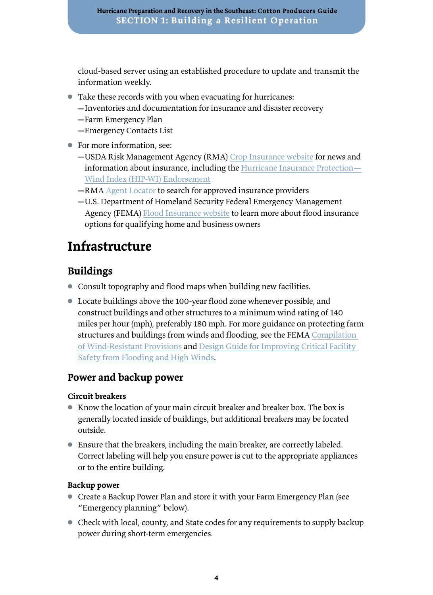<span id="page-7-0"></span>cloud-based server using an established procedure to update and transmit the information weekly.

- Take these records with you when evacuating for hurricanes:
	- ▬Inventories and documentation for insurance and disaster recovery
	- ▬Farm Emergency Plan
	- ▬Emergency Contacts List
- For more information, see:
	- ▬USDA Risk Management Agency (RMA) [Crop Insurance website](https://www.rma.usda.gov/) for news and information about insurance, including the [Hurricane Insurance Protection—](https://www.rma.usda.gov/en/Topics/Hurricane-Insurance-Protection-Wind-Index) [Wind Index \(HIP-WI\) Endorsement](https://www.rma.usda.gov/en/Topics/Hurricane-Insurance-Protection-Wind-Index)
	- ▬RMA [Agent Locator](https://www.rma.usda.gov/Information-Tools/Agent-Locator-Page) to search for approved insurance providers
	- ▬U.S. Department of Homeland Security Federal Emergency Management Agency (FEMA) [Flood Insurance website](https://www.fema.gov/flood-insurance) to learn more about flood insurance options for qualifying home and business owners

## **Infrastructure**

### **Buildings**

- Consult topography and flood maps when building new facilities.
- Locate buildings above the 100-year flood zone whenever possible, and construct buildings and other structures to a minimum wind rating of 140 miles per hour (mph), preferably 180 mph. For more guidance on protecting farm structures and buildings from winds and flooding, see the FEMA Compilation [of Wind-Resistant Provisions](https://www.fema.gov/sites/default/files/2020-08/2015_IRC_compilaton_of_wind_resistanc_provisions.pdf) and [Design Guide for Improving Critical Facility](https://www.fema.gov/media-library/assets/documents/8811)  [Safety from Flooding and High Winds](https://www.fema.gov/media-library/assets/documents/8811).

#### **Power and backup power**

#### **Circuit breakers**

- Know the location of your main circuit breaker and breaker box. The box is generally located inside of buildings, but additional breakers may be located outside.
- Ensure that the breakers, including the main breaker, are correctly labeled. Correct labeling will help you ensure power is cut to the appropriate appliances or to the entire building.

#### **Backup power**

- Create a Backup Power Plan and store it with your Farm Emergency Plan (see "Emergency planning" below).
- Check with local, county, and State codes for any requirements to supply backup power during short-term emergencies.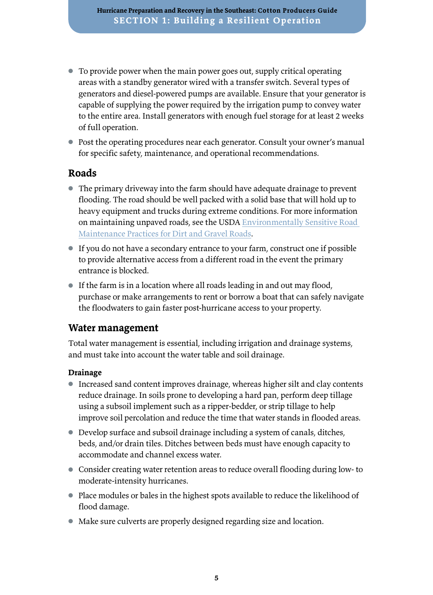- To provide power when the main power goes out, supply critical operating areas with a standby generator wired with a transfer switch. Several types of generators and diesel-powered pumps are available. Ensure that your generator is capable of supplying the power required by the irrigation pump to convey water to the entire area. Install generators with enough fuel storage for at least 2 weeks of full operation.
- Post the operating procedures near each generator. Consult your owner's manual for specific safety, maintenance, and operational recommendations.

### **Roads**

- The primary driveway into the farm should have adequate drainage to prevent flooding. The road should be well packed with a solid base that will hold up to heavy equipment and trucks during extreme conditions. For more information on maintaining unpaved roads, see the USDA [Environmentally Sensitive Road](https://www.fs.fed.us/eng/pubs/pdf/11771802.pdf)  [Maintenance Practices for Dirt and Gravel Roads](https://www.fs.fed.us/eng/pubs/pdf/11771802.pdf).
- If you do not have a secondary entrance to your farm, construct one if possible to provide alternative access from a different road in the event the primary entrance is blocked.
- If the farm is in a location where all roads leading in and out may flood, purchase or make arrangements to rent or borrow a boat that can safely navigate the floodwaters to gain faster post-hurricane access to your property.

#### **Water management**

Total water management is essential, including irrigation and drainage systems, and must take into account the water table and soil drainage.

#### **Drainage**

- Increased sand content improves drainage, whereas higher silt and clay contents reduce drainage. In soils prone to developing a hard pan, perform deep tillage using a subsoil implement such as a ripper-bedder, or strip tillage to help improve soil percolation and reduce the time that water stands in flooded areas.
- Develop surface and subsoil drainage including a system of canals, ditches, beds, and/or drain tiles. Ditches between beds must have enough capacity to accommodate and channel excess water.
- Consider creating water retention areas to reduce overall flooding during low- to moderate-intensity hurricanes.
- Place modules or bales in the highest spots available to reduce the likelihood of flood damage.
- Make sure culverts are properly designed regarding size and location.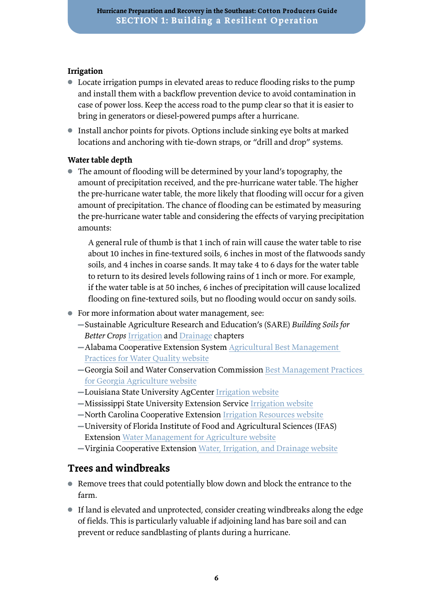#### **Irrigation**

- Locate irrigation pumps in elevated areas to reduce flooding risks to the pump and install them with a backflow prevention device to avoid contamination in case of power loss. Keep the access road to the pump clear so that it is easier to bring in generators or diesel-powered pumps after a hurricane.
- Install anchor points for pivots. Options include sinking eye bolts at marked locations and anchoring with tie-down straps, or "drill and drop" systems.

#### **Water table depth**

● The amount of flooding will be determined by your land's topography, the amount of precipitation received, and the pre-hurricane water table. The higher the pre-hurricane water table, the more likely that flooding will occur for a given amount of precipitation. The chance of flooding can be estimated by measuring the pre-hurricane water table and considering the effects of varying precipitation amounts:

A general rule of thumb is that 1 inch of rain will cause the water table to rise about 10 inches in fine-textured soils, 6 inches in most of the flatwoods sandy soils, and 4 inches in coarse sands. It may take 4 to 6 days for the water table to return to its desired levels following rains of 1 inch or more. For example, if the water table is at 50 inches, 6 inches of precipitation will cause localized flooding on fine-textured soils, but no flooding would occur on sandy soils.

- For more information about water management, see:
	- ▬Sustainable Agriculture Research and Education's (SARE) *Building Soils for Better Crops* [Irrigation](https://www.sare.org/publications/building-soils-for-better-crops/managing-water-irrigation-and-drainage/irrigation/) and [Drainage](https://www.sare.org/publications/building-soils-for-better-crops/managing-water-irrigation-and-drainage/drainage/) chapters
	- $-$ Alabama Cooperative Extension System Agricultural Best Management [Practices for Water Quality website](https://www.aces.edu/blog/topics/crop-production/agricultural-best-management-practices-for-water-quality/)
	- ▬Georgia Soil and Water Conservation Commission [Best Management Practices](https://gaswcc.georgia.gov/best-management-practices-georgia-agriculture)  [for Georgia Agriculture website](https://gaswcc.georgia.gov/best-management-practices-georgia-agriculture)
	- ▬Louisiana State University AgCenter [Irrigation website](https://www.lsuagcenter.com/topics/crops/irrigation)
	- ▬Mississippi State University Extension Service [Irrigation website](http://extension.msstate.edu/agriculture/farming/irrigation)
	- ▬North Carolina Cooperative Extension [Irrigation Resources website](https://growingsmallfarms.ces.ncsu.edu/growingsmallfarms-irrigatelinks/)
	- ▬University of Florida Institute of Food and Agricultural Sciences (IFAS) Extension [Water Management for Agriculture website](http://edis.ifas.ufl.edu/topic_water_management_for_agriculture)
	- ▬Virginia Cooperative Extension [Water, Irrigation, and Drainage website](https://ext.vt.edu/agriculture/water.html)

#### **Trees and windbreaks**

- Remove trees that could potentially blow down and block the entrance to the farm.
- If land is elevated and unprotected, consider creating windbreaks along the edge of fields. This is particularly valuable if adjoining land has bare soil and can prevent or reduce sandblasting of plants during a hurricane.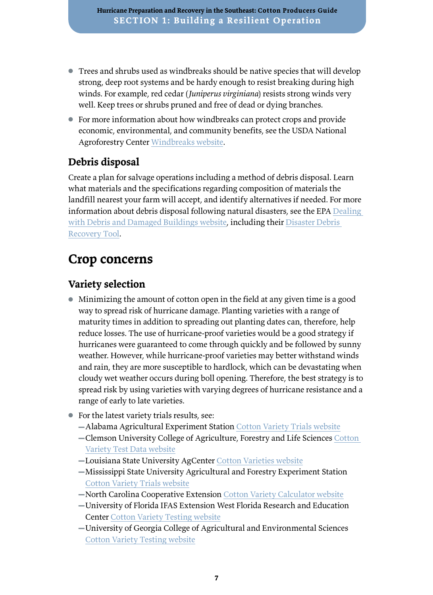- <span id="page-10-0"></span>● Trees and shrubs used as windbreaks should be native species that will develop strong, deep root systems and be hardy enough to resist breaking during high winds. For example, red cedar (*Juniperus virginiana*) resists strong winds very well. Keep trees or shrubs pruned and free of dead or dying branches.
- For more information about how windbreaks can protect crops and provide economic, environmental, and community benefits, see the USDA National Agroforestry Center [Windbreaks website.](https://www.fs.usda.gov/nac/practices/windbreaks.php)

### **Debris disposal**

Create a plan for salvage operations including a method of debris disposal. Learn what materials and the specifications regarding composition of materials the landfill nearest your farm will accept, and identify alternatives if needed. For more information about debris disposal following natural disasters, see the EPA [Dealing](http://www.epa.gov/natural-disasters/dealing-debris-and-damaged-buildings)  [with Debris and Damaged Buildings website](http://www.epa.gov/natural-disasters/dealing-debris-and-damaged-buildings), including their Disaster Debris [Recovery Tool.](https://www.epa.gov/large-scale-residential-demolition/disaster-debris-recovery-tool)

## **Crop concerns**

### **Variety selection**

- Minimizing the amount of cotton open in the field at any given time is a good way to spread risk of hurricane damage. Planting varieties with a range of maturity times in addition to spreading out planting dates can, therefore, help reduce losses. The use of hurricane-proof varieties would be a good strategy if hurricanes were guaranteed to come through quickly and be followed by sunny weather. However, while hurricane-proof varieties may better withstand winds and rain, they are more susceptible to hardlock, which can be devastating when cloudy wet weather occurs during boll opening. Therefore, the best strategy is to spread risk by using varieties with varying degrees of hurricane resistance and a range of early to late varieties.
- For the latest variety trials results, see:
	- ▬Alabama Agricultural Experiment Station [Cotton Variety Trials website](https://aaes.auburn.edu/blog/category/variety-tests/cotton-variety-trials/)
	- ▬Clemson University College of Agriculture, Forestry and Life Sciences [Cotton](https://www.clemson.edu/cafls/research/vt/cotton.html)  [Variety Test Data website](https://www.clemson.edu/cafls/research/vt/cotton.html)
	- ▬Louisiana State University AgCenter [Cotton Varieties website](https://www.lsuagcenter.com/topics/crops/cotton/variety_trials)
	- ▬Mississippi State University Agricultural and Forestry Experiment Station [Cotton Variety Trials website](https://www.mafes.msstate.edu/variety-trials/includes/crops/cotton.asp)
	- ▬North Carolina Cooperative Extension [Cotton Variety Calculator website](https://cotton.ces.ncsu.edu/variety-calculator/)
	- ▬University of Florida IFAS Extension West Florida Research and Education Center [Cotton Variety Testing website](https://wfrec.ifas.ufl.edu/variety-testing/cotton/)
	- ▬University of Georgia College of Agricultural and Environmental Sciences [Cotton Variety Testing website](https://swvt.uga.edu/summer-crops/cotton.html)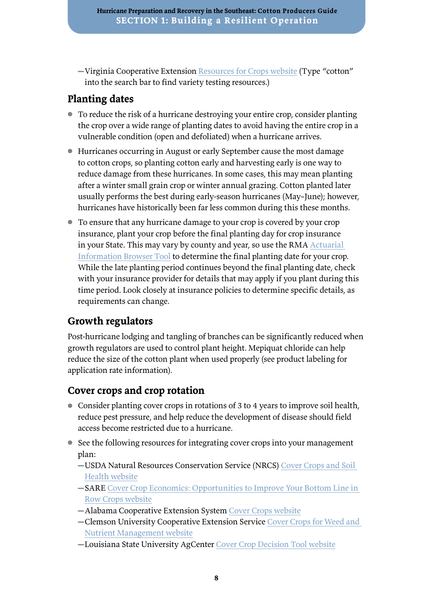▬Virginia Cooperative Extension [Resources for Crops website](https://www.pubs.ext.vt.edu/tags.resource.html/pubs_ext_vt_edu:crops) (Type "cotton" into the search bar to find variety testing resources.)

### **Planting dates**

- To reduce the risk of a hurricane destroying your entire crop, consider planting the crop over a wide range of planting dates to avoid having the entire crop in a vulnerable condition (open and defoliated) when a hurricane arrives.
- Hurricanes occurring in August or early September cause the most damage to cotton crops, so planting cotton early and harvesting early is one way to reduce damage from these hurricanes. In some cases, this may mean planting after a winter small grain crop or winter annual grazing. Cotton planted later usually performs the best during early-season hurricanes (May–June); however, hurricanes have historically been far less common during this these months.
- To ensure that any hurricane damage to your crop is covered by your crop insurance, plant your crop before the final planting day for crop insurance in your State. This may vary by county and year, so use the RMA [Actuarial](https://webapp.rma.usda.gov/apps/actuarialinformationbrowser/)  [Information Browser Tool](https://webapp.rma.usda.gov/apps/actuarialinformationbrowser/) to determine the final planting date for your crop. While the late planting period continues beyond the final planting date, check with your insurance provider for details that may apply if you plant during this time period. Look closely at insurance policies to determine specific details, as requirements can change.

### **Growth regulators**

Post-hurricane lodging and tangling of branches can be significantly reduced when growth regulators are used to control plant height. Mepiquat chloride can help reduce the size of the cotton plant when used properly (see product labeling for application rate information).

### **Cover crops and crop rotation**

- Consider planting cover crops in rotations of 3 to 4 years to improve soil health, reduce pest pressure, and help reduce the development of disease should field access become restricted due to a hurricane.
- See the following resources for integrating cover crops into your management plan:
	- ▬USDA Natural Resources Conservation Service (NRCS) [Cover Crops and Soil](https://www.nrcs.usda.gov/wps/portal/nrcs/detail/national/climatechange/?cid=stelprdb1077238)  [Health website](https://www.nrcs.usda.gov/wps/portal/nrcs/detail/national/climatechange/?cid=stelprdb1077238)
	- ▬SARE [Cover Crop Economics: Opportunities to Improve Your Bottom Line in](https://www.sare.org/Learning-Center/Bulletins/Cover-Crop-Economics?utm_source=email+marketing+Mailigen&utm_campaign=Cover+Crop+Economics&utm_medium=email)  [Row Crops website](https://www.sare.org/Learning-Center/Bulletins/Cover-Crop-Economics?utm_source=email+marketing+Mailigen&utm_campaign=Cover+Crop+Economics&utm_medium=email)
	- ▬Alabama Cooperative Extension System [Cover Crops website](https://www.aces.edu/blog/topics/row-cover-crop-soils/cover-crops-for-alabama/?cn-reloaded=1)
	- ▬Clemson University Cooperative Extension Service [Cover Crops for Weed and](https://lgpress.clemson.edu/publication/cover-crops-for-weed-and-nutrient-management/)  [Nutrient Management website](https://lgpress.clemson.edu/publication/cover-crops-for-weed-and-nutrient-management/)
	- ▬Louisiana State University AgCenter [Cover Crop Decision Tool website](https://www.lsuagcenter.com/profiles/nadusumilli/articles/page1533331282945)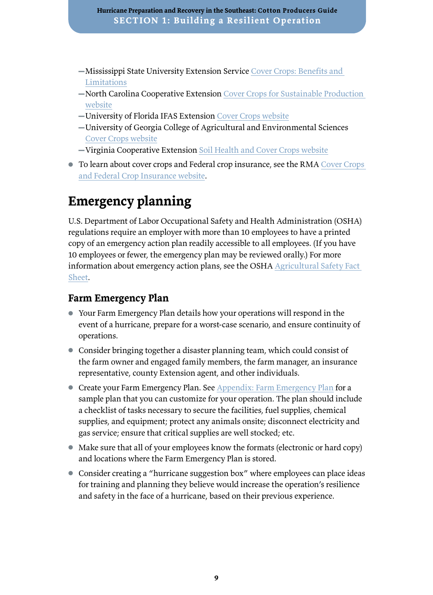- <span id="page-12-0"></span>▬Mississippi State University Extension Service [Cover Crops: Benefits and](http://extension.msstate.edu/sites/default/files/publications/publications/p3330.pdf)  [Limitations](http://extension.msstate.edu/sites/default/files/publications/publications/p3330.pdf)
- ▬North Carolina Cooperative Extension [Cover Crops for Sustainable Production](https://growingsmallfarms.ces.ncsu.edu/growingsmallfarms-covcropindex/)  [website](https://growingsmallfarms.ces.ncsu.edu/growingsmallfarms-covcropindex/)
- ▬University of Florida IFAS Extension [Cover Crops website](https://sfyl.ifas.ufl.edu/agriculture/cover-crops/)
- ▬University of Georgia College of Agricultural and Environmental Sciences [Cover Crops website](https://sustainagga.caes.uga.edu/management/cover-crops.html)
- ▬Virginia Cooperative Extension [Soil Health and Cover Crops website](https://ext.vt.edu/agriculture/soil-health.html)
- To learn about cover crops and Federal crop insurance, see the RMA [Cover Crops](https://www.rma.usda.gov/en/Fact-Sheets/National-Fact-Sheets/Cover-Crops-and-Crop-Insurance)  [and Federal Crop Insurance website.](https://www.rma.usda.gov/en/Fact-Sheets/National-Fact-Sheets/Cover-Crops-and-Crop-Insurance)

## **Emergency planning**

U.S. Department of Labor Occupational Safety and Health Administration (OSHA) regulations require an employer with more than 10 employees to have a printed copy of an emergency action plan readily accessible to all employees. (If you have 10 employees or fewer, the emergency plan may be reviewed orally.) For more information about emergency action plans, see the OSHA [Agricultural Safety Fact](https://www.osha.gov/Publications/OSHA3870.pdf)  [Sheet](https://www.osha.gov/Publications/OSHA3870.pdf).

#### **Farm Emergency Plan**

- Your Farm Emergency Plan details how your operations will respond in the event of a hurricane, prepare for a worst-case scenario, and ensure continuity of operations.
- Consider bringing together a disaster planning team, which could consist of the farm owner and engaged family members, the farm manager, an insurance representative, county Extension agent, and other individuals.
- Create your Farm Emergency Plan. See [Appendix: Farm Emergency Plan](#page-34-0) for a sample plan that you can customize for your operation. The plan should include a checklist of tasks necessary to secure the facilities, fuel supplies, chemical supplies, and equipment; protect any animals onsite; disconnect electricity and gas service; ensure that critical supplies are well stocked; etc.
- Make sure that all of your employees know the formats (electronic or hard copy) and locations where the Farm Emergency Plan is stored.
- Consider creating a "hurricane suggestion box" where employees can place ideas for training and planning they believe would increase the operation's resilience and safety in the face of a hurricane, based on their previous experience.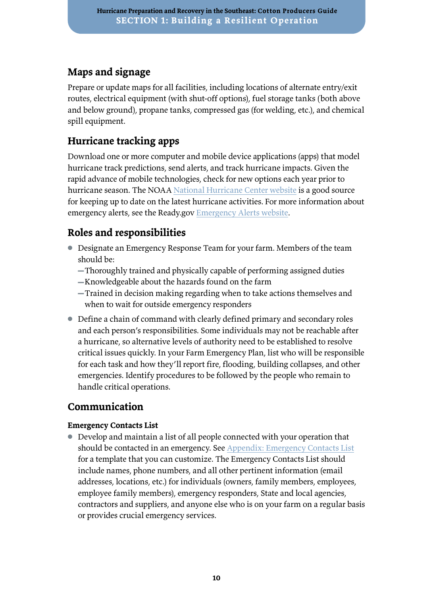### **Maps and signage**

Prepare or update maps for all facilities, including locations of alternate entry/exit routes, electrical equipment (with shut-off options), fuel storage tanks (both above and below ground), propane tanks, compressed gas (for welding, etc.), and chemical spill equipment.

### **Hurricane tracking apps**

Download one or more computer and mobile device applications (apps) that model hurricane track predictions, send alerts, and track hurricane impacts. Given the rapid advance of mobile technologies, check for new options each year prior to hurricane season. The NOAA [National Hurricane Center](https://www.nhc.noaa.gov/) [website](https://www.nhc.noaa.gov/) is a good source for keeping up to date on the latest hurricane activities. For more information about emergency alerts, see the Ready.gov [Emergency Alerts website](https://www.ready.gov/alerts).

## **Roles and responsibilities**

- Designate an Emergency Response Team for your farm. Members of the team should be:
	- ▬Thoroughly trained and physically capable of performing assigned duties
	- ▬Knowledgeable about the hazards found on the farm
	- ▬Trained in decision making regarding when to take actions themselves and when to wait for outside emergency responders
- Define a chain of command with clearly defined primary and secondary roles and each person's responsibilities. Some individuals may not be reachable after a hurricane, so alternative levels of authority need to be established to resolve critical issues quickly. In your Farm Emergency Plan, list who will be responsible for each task and how they'll report fire, flooding, building collapses, and other emergencies. Identify procedures to be followed by the people who remain to handle critical operations.

### **Communication**

#### **Emergency Contacts List**

● Develop and maintain a list of all people connected with your operation that should be contacted in an emergency. See [Appendix: Emergency Contacts List](#page-38-0) for a template that you can customize. The Emergency Contacts List should include names, phone numbers, and all other pertinent information (email addresses, locations, etc.) for individuals (owners, family members, employees, employee family members), emergency responders, State and local agencies, contractors and suppliers, and anyone else who is on your farm on a regular basis or provides crucial emergency services.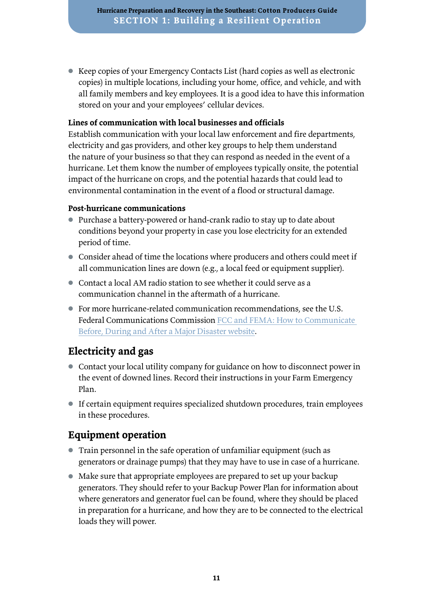● Keep copies of your Emergency Contacts List (hard copies as well as electronic copies) in multiple locations, including your home, office, and vehicle, and with all family members and key employees. It is a good idea to have this information stored on your and your employees' cellular devices.

#### **Lines of communication with local businesses and officials**

Establish communication with your local law enforcement and fire departments, electricity and gas providers, and other key groups to help them understand the nature of your business so that they can respond as needed in the event of a hurricane. Let them know the number of employees typically onsite, the potential impact of the hurricane on crops, and the potential hazards that could lead to environmental contamination in the event of a flood or structural damage.

#### **Post-hurricane communications**

- Purchase a battery-powered or hand-crank radio to stay up to date about conditions beyond your property in case you lose electricity for an extended period of time.
- Consider ahead of time the locations where producers and others could meet if all communication lines are down (e.g., a local feed or equipment supplier).
- Contact a local AM radio station to see whether it could serve as a communication channel in the aftermath of a hurricane.
- For more hurricane-related communication recommendations, see the U.S. Federal Communications Commission [FCC and FEMA: How to Communicate](https://www.fcc.gov/news-events/blog/2011/09/21/fcc-and-fema-how-communicate-during-and-after-major-disaster)  [Before, During and After a Major Disaster website.](https://www.fcc.gov/news-events/blog/2011/09/21/fcc-and-fema-how-communicate-during-and-after-major-disaster)

#### **Electricity and gas**

- Contact your local utility company for guidance on how to disconnect power in the event of downed lines. Record their instructions in your Farm Emergency Plan.
- If certain equipment requires specialized shutdown procedures, train employees in these procedures.

#### **Equipment operation**

- Train personnel in the safe operation of unfamiliar equipment (such as generators or drainage pumps) that they may have to use in case of a hurricane.
- Make sure that appropriate employees are prepared to set up your backup generators. They should refer to your Backup Power Plan for information about where generators and generator fuel can be found, where they should be placed in preparation for a hurricane, and how they are to be connected to the electrical loads they will power.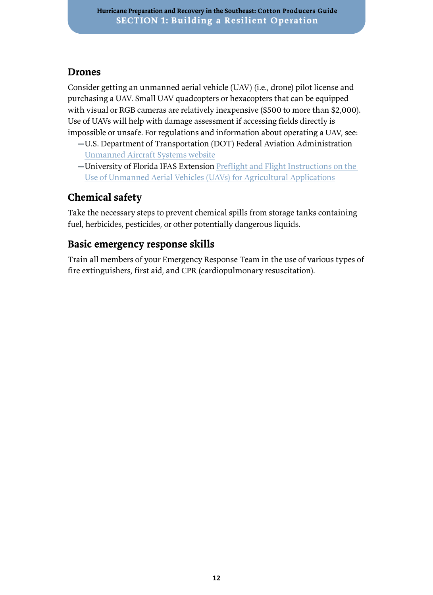#### **Drones**

Consider getting an unmanned aerial vehicle (UAV) (i.e., drone) pilot license and purchasing a UAV. Small UAV quadcopters or hexacopters that can be equipped with visual or RGB cameras are relatively inexpensive (\$500 to more than \$2,000). Use of UAVs will help with damage assessment if accessing fields directly is impossible or unsafe. For regulations and information about operating a UAV, see:

- ▬U.S. Department of Transportation (DOT) Federal Aviation Administration [Unmanned Aircraft Systems website](https://www.faa.gov/uas/)
- -University of Florida IFAS Extension Preflight and Flight Instructions on the [Use of Unmanned Aerial Vehicles \(UAVs\) for Agricultural Applications](https://edis.ifas.ufl.edu/ae535)

## **Chemical safety**

Take the necessary steps to prevent chemical spills from storage tanks containing fuel, herbicides, pesticides, or other potentially dangerous liquids.

### **Basic emergency response skills**

Train all members of your Emergency Response Team in the use of various types of fire extinguishers, first aid, and CPR (cardiopulmonary resuscitation).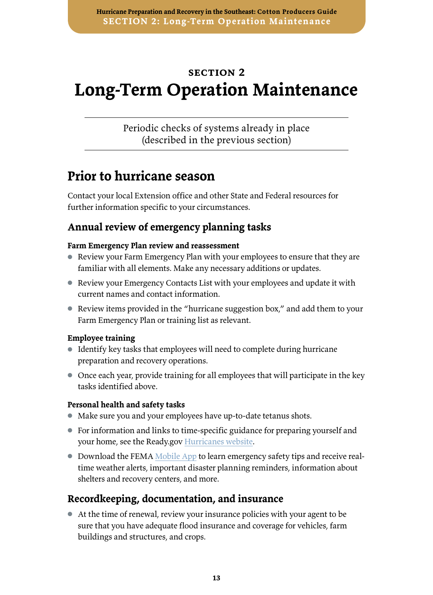## <span id="page-16-0"></span>**section 2 Long-Term Operation Maintenance**

Periodic checks of systems already in place (described in the previous section)

## **Prior to hurricane season**

Contact your local Extension office and other State and Federal resources for further information specific to your circumstances.

### **Annual review of emergency planning tasks**

#### **Farm Emergency Plan review and reassessment**

- Review your Farm Emergency Plan with your employees to ensure that they are familiar with all elements. Make any necessary additions or updates.
- Review your Emergency Contacts List with your employees and update it with current names and contact information.
- Review items provided in the "hurricane suggestion box," and add them to your Farm Emergency Plan or training list as relevant.

#### **Employee training**

- Identify key tasks that employees will need to complete during hurricane preparation and recovery operations.
- Once each year, provide training for all employees that will participate in the key tasks identified above.

#### **Personal health and safety tasks**

- Make sure you and your employees have up-to-date tetanus shots.
- For information and links to time-specific guidance for preparing yourself and your home, see the Ready.gov [Hurricanes website](https://www.ready.gov/hurricanes).
- Download the [FEMA Mobile App](https://www.fema.gov/mobile-app) to learn emergency safety tips and receive realtime weather alerts, important disaster planning reminders, information about shelters and recovery centers, and more.

### **Recordkeeping, documentation, and insurance**

● At the time of renewal, review your insurance policies with your agent to be sure that you have adequate flood insurance and coverage for vehicles, farm buildings and structures, and crops.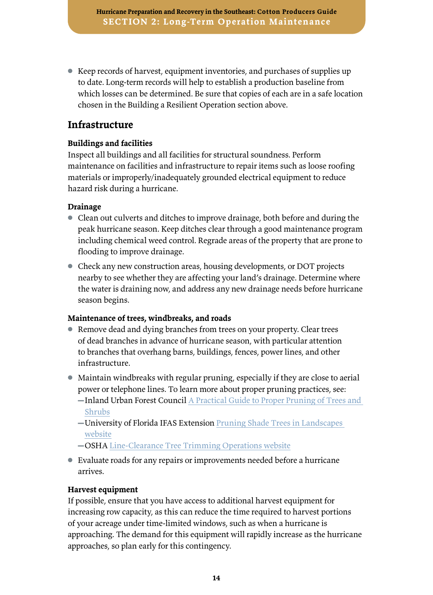● Keep records of harvest, equipment inventories, and purchases of supplies up to date. Long-term records will help to establish a production baseline from which losses can be determined. Be sure that copies of each are in a safe location chosen in the Building a Resilient Operation section above.

#### **Infrastructure**

#### **Buildings and facilities**

Inspect all buildings and all facilities for structural soundness. Perform maintenance on facilities and infrastructure to repair items such as loose roofing materials or improperly/inadequately grounded electrical equipment to reduce hazard risk during a hurricane.

#### **Drainage**

- Clean out culverts and ditches to improve drainage, both before and during the peak hurricane season. Keep ditches clear through a good maintenance program including chemical weed control. Regrade areas of the property that are prone to flooding to improve drainage.
- Check any new construction areas, housing developments, or DOT projects nearby to see whether they are affecting your land's drainage. Determine where the water is draining now, and address any new drainage needs before hurricane season begins.

#### **Maintenance of trees, windbreaks, and roads**

- Remove dead and dying branches from trees on your property. Clear trees of dead branches in advance of hurricane season, with particular attention to branches that overhang barns, buildings, fences, power lines, and other infrastructure.
- Maintain windbreaks with regular pruning, especially if they are close to aerial power or telephone lines. To learn more about proper pruning practices, see:
	- -Inland Urban Forest Council A Practical Guide to Proper Pruning of Trees and [Shrubs](http://inlandurbanforestcouncil.org/wp-content/uploads/delightful-downloads/2017/10/Practical-Pruning-Guide.pdf)
	- -University of Florida IFAS Extension Pruning Shade Trees in Landscapes [website](https://hort.ifas.ufl.edu/woody/pruning.shtml)
	- ▬OSHA [Line-Clearance Tree Trimming Operations website](https://www.osha.gov/etools/electric-power/overhead-line-work/line-clearance-tree-trimming-operations)
- Evaluate roads for any repairs or improvements needed before a hurricane arrives.

#### **Harvest equipment**

If possible, ensure that you have access to additional harvest equipment for increasing row capacity, as this can reduce the time required to harvest portions of your acreage under time-limited windows, such as when a hurricane is approaching. The demand for this equipment will rapidly increase as the hurricane approaches, so plan early for this contingency.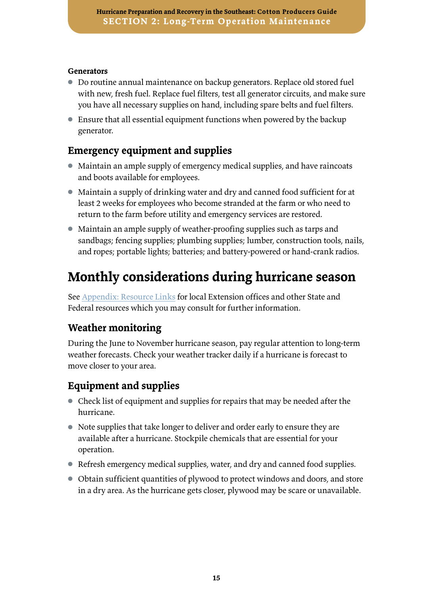#### <span id="page-18-0"></span>**Generators**

- Do routine annual maintenance on backup generators. Replace old stored fuel with new, fresh fuel. Replace fuel filters, test all generator circuits, and make sure you have all necessary supplies on hand, including spare belts and fuel filters.
- Ensure that all essential equipment functions when powered by the backup generator.

### **Emergency equipment and supplies**

- Maintain an ample supply of emergency medical supplies, and have raincoats and boots available for employees.
- Maintain a supply of drinking water and dry and canned food sufficient for at least 2 weeks for employees who become stranded at the farm or who need to return to the farm before utility and emergency services are restored.
- Maintain an ample supply of weather-proofing supplies such as tarps and sandbags; fencing supplies; plumbing supplies; lumber, construction tools, nails, and ropes; portable lights; batteries; and battery-powered or hand-crank radios.

## **Monthly considerations during hurricane season**

See [Appendix: Resource Links](#page-43-0) for local Extension offices and other State and Federal resources which you may consult for further information.

### **Weather monitoring**

During the June to November hurricane season, pay regular attention to long-term weather forecasts. Check your weather tracker daily if a hurricane is forecast to move closer to your area.

### **Equipment and supplies**

- Check list of equipment and supplies for repairs that may be needed after the hurricane.
- Note supplies that take longer to deliver and order early to ensure they are available after a hurricane. Stockpile chemicals that are essential for your operation.
- Refresh emergency medical supplies, water, and dry and canned food supplies.
- Obtain sufficient quantities of plywood to protect windows and doors, and store in a dry area. As the hurricane gets closer, plywood may be scare or unavailable.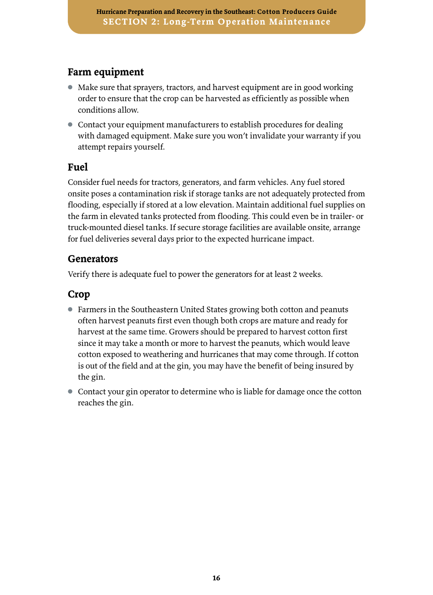#### **Farm equipment**

- Make sure that sprayers, tractors, and harvest equipment are in good working order to ensure that the crop can be harvested as efficiently as possible when conditions allow.
- Contact your equipment manufacturers to establish procedures for dealing with damaged equipment. Make sure you won't invalidate your warranty if you attempt repairs yourself.

#### **Fuel**

Consider fuel needs for tractors, generators, and farm vehicles. Any fuel stored onsite poses a contamination risk if storage tanks are not adequately protected from flooding, especially if stored at a low elevation. Maintain additional fuel supplies on the farm in elevated tanks protected from flooding. This could even be in trailer- or truck-mounted diesel tanks. If secure storage facilities are available onsite, arrange for fuel deliveries several days prior to the expected hurricane impact.

#### **Generators**

Verify there is adequate fuel to power the generators for at least 2 weeks.

#### **Crop**

- Farmers in the Southeastern United States growing both cotton and peanuts often harvest peanuts first even though both crops are mature and ready for harvest at the same time. Growers should be prepared to harvest cotton first since it may take a month or more to harvest the peanuts, which would leave cotton exposed to weathering and hurricanes that may come through. If cotton is out of the field and at the gin, you may have the benefit of being insured by the gin.
- Contact your gin operator to determine who is liable for damage once the cotton reaches the gin.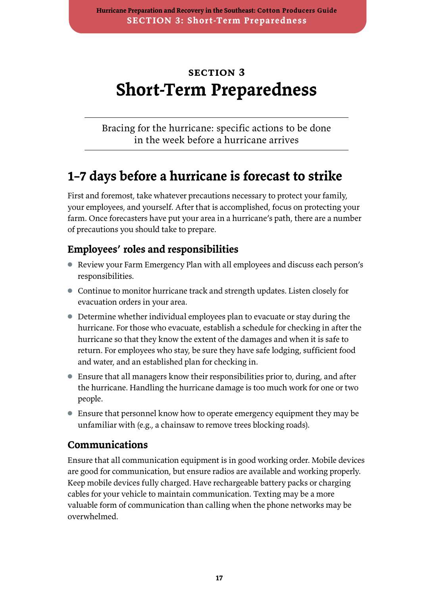## <span id="page-20-0"></span>**section 3 Short-Term Preparedness**

Bracing for the hurricane: specific actions to be done in the week before a hurricane arrives

## **1–7 days before a hurricane is forecast to strike**

First and foremost, take whatever precautions necessary to protect your family, your employees, and yourself. After that is accomplished, focus on protecting your farm. Once forecasters have put your area in a hurricane's path, there are a number of precautions you should take to prepare.

### **Employees' roles and responsibilities**

- Review your Farm Emergency Plan with all employees and discuss each person's responsibilities.
- Continue to monitor hurricane track and strength updates. Listen closely for evacuation orders in your area.
- Determine whether individual employees plan to evacuate or stay during the hurricane. For those who evacuate, establish a schedule for checking in after the hurricane so that they know the extent of the damages and when it is safe to return. For employees who stay, be sure they have safe lodging, sufficient food and water, and an established plan for checking in.
- Ensure that all managers know their responsibilities prior to, during, and after the hurricane. Handling the hurricane damage is too much work for one or two people.
- Ensure that personnel know how to operate emergency equipment they may be unfamiliar with (e.g., a chainsaw to remove trees blocking roads).

#### **Communications**

Ensure that all communication equipment is in good working order. Mobile devices are good for communication, but ensure radios are available and working properly. Keep mobile devices fully charged. Have rechargeable battery packs or charging cables for your vehicle to maintain communication. Texting may be a more valuable form of communication than calling when the phone networks may be overwhelmed.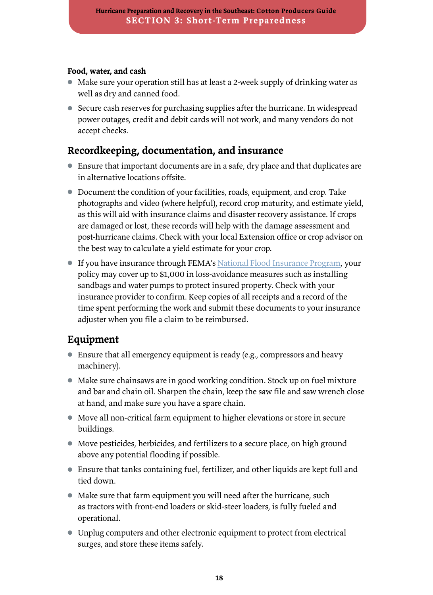#### **Food, water, and cash**

- Make sure your operation still has at least a 2-week supply of drinking water as well as dry and canned food.
- Secure cash reserves for purchasing supplies after the hurricane. In widespread power outages, credit and debit cards will not work, and many vendors do not accept checks.

### **Recordkeeping, documentation, and insurance**

- Ensure that important documents are in a safe, dry place and that duplicates are in alternative locations offsite.
- Document the condition of your facilities, roads, equipment, and crop. Take photographs and video (where helpful), record crop maturity, and estimate yield, as this will aid with insurance claims and disaster recovery assistance. If crops are damaged or lost, these records will help with the damage assessment and post-hurricane claims. Check with your local Extension office or crop advisor on the best way to calculate a yield estimate for your crop.
- If you have insurance through FEMA's [National Flood Insurance Program,](https://www.fema.gov/national-flood-insurance-program) your policy may cover up to \$1,000 in loss-avoidance measures such as installing sandbags and water pumps to protect insured property. Check with your insurance provider to confirm. Keep copies of all receipts and a record of the time spent performing the work and submit these documents to your insurance adjuster when you file a claim to be reimbursed.

### **Equipment**

- Ensure that all emergency equipment is ready (e.g., compressors and heavy machinery).
- Make sure chainsaws are in good working condition. Stock up on fuel mixture and bar and chain oil. Sharpen the chain, keep the saw file and saw wrench close at hand, and make sure you have a spare chain.
- Move all non-critical farm equipment to higher elevations or store in secure buildings.
- Move pesticides, herbicides, and fertilizers to a secure place, on high ground above any potential flooding if possible.
- Ensure that tanks containing fuel, fertilizer, and other liquids are kept full and tied down.
- Make sure that farm equipment you will need after the hurricane, such as tractors with front-end loaders or skid-steer loaders, is fully fueled and operational.
- Unplug computers and other electronic equipment to protect from electrical surges, and store these items safely.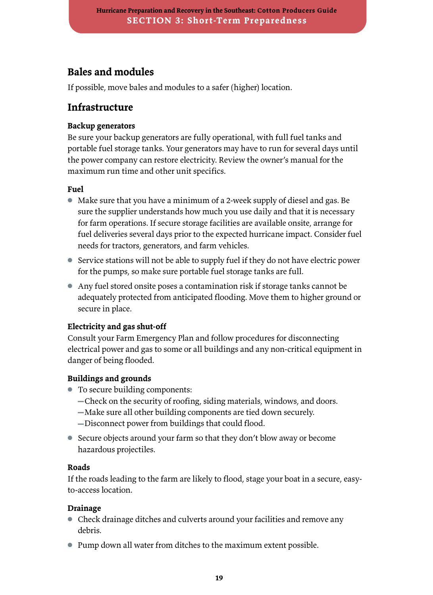### **Bales and modules**

If possible, move bales and modules to a safer (higher) location.

#### **Infrastructure**

#### **Backup generators**

Be sure your backup generators are fully operational, with full fuel tanks and portable fuel storage tanks. Your generators may have to run for several days until the power company can restore electricity. Review the owner's manual for the maximum run time and other unit specifics.

#### **Fuel**

- Make sure that you have a minimum of a 2-week supply of diesel and gas. Be sure the supplier understands how much you use daily and that it is necessary for farm operations. If secure storage facilities are available onsite, arrange for fuel deliveries several days prior to the expected hurricane impact. Consider fuel needs for tractors, generators, and farm vehicles.
- Service stations will not be able to supply fuel if they do not have electric power for the pumps, so make sure portable fuel storage tanks are full.
- Any fuel stored onsite poses a contamination risk if storage tanks cannot be adequately protected from anticipated flooding. Move them to higher ground or secure in place.

#### **Electricity and gas shut-off**

Consult your Farm Emergency Plan and follow procedures for disconnecting electrical power and gas to some or all buildings and any non-critical equipment in danger of being flooded.

#### **Buildings and grounds**

- To secure building components:
	- ▬Check on the security of roofing, siding materials, windows, and doors.
	- ▬Make sure all other building components are tied down securely.
	- ▬Disconnect power from buildings that could flood.
- Secure objects around your farm so that they don't blow away or become hazardous projectiles.

#### **Roads**

If the roads leading to the farm are likely to flood, stage your boat in a secure, easyto-access location.

#### **Drainage**

- Check drainage ditches and culverts around your facilities and remove any debris.
- Pump down all water from ditches to the maximum extent possible.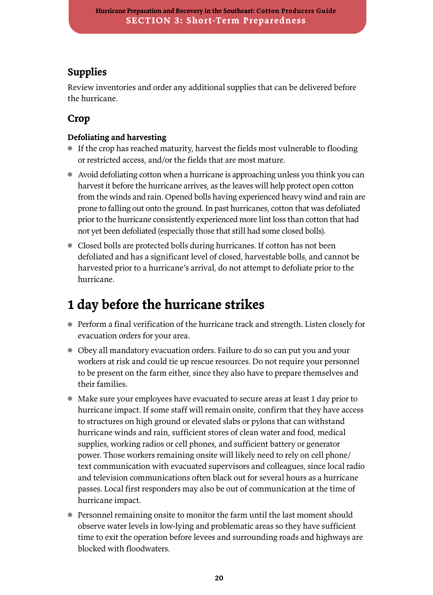### <span id="page-23-0"></span>**Supplies**

Review inventories and order any additional supplies that can be delivered before the hurricane.

### **Crop**

#### **Defoliating and harvesting**

- If the crop has reached maturity, harvest the fields most vulnerable to flooding or restricted access, and/or the fields that are most mature.
- Avoid defoliating cotton when a hurricane is approaching unless you think you can harvest it before the hurricane arrives, as the leaves will help protect open cotton from the winds and rain. Opened bolls having experienced heavy wind and rain are prone to falling out onto the ground. In past hurricanes, cotton that was defoliated prior to the hurricane consistently experienced more lint loss than cotton that had not yet been defoliated (especially those that still had some closed bolls).
- Closed bolls are protected bolls during hurricanes. If cotton has not been defoliated and has a significant level of closed, harvestable bolls, and cannot be harvested prior to a hurricane's arrival, do not attempt to defoliate prior to the hurricane.

## **1 day before the hurricane strikes**

- Perform a final verification of the hurricane track and strength. Listen closely for evacuation orders for your area.
- Obey all mandatory evacuation orders. Failure to do so can put you and your workers at risk and could tie up rescue resources. Do not require your personnel to be present on the farm either, since they also have to prepare themselves and their families.
- Make sure your employees have evacuated to secure areas at least 1 day prior to hurricane impact. If some staff will remain onsite, confirm that they have access to structures on high ground or elevated slabs or pylons that can withstand hurricane winds and rain, sufficient stores of clean water and food, medical supplies, working radios or cell phones, and sufficient battery or generator power. Those workers remaining onsite will likely need to rely on cell phone/ text communication with evacuated supervisors and colleagues, since local radio and television communications often black out for several hours as a hurricane passes. Local first responders may also be out of communication at the time of hurricane impact.
- Personnel remaining onsite to monitor the farm until the last moment should observe water levels in low-lying and problematic areas so they have sufficient time to exit the operation before levees and surrounding roads and highways are blocked with floodwaters.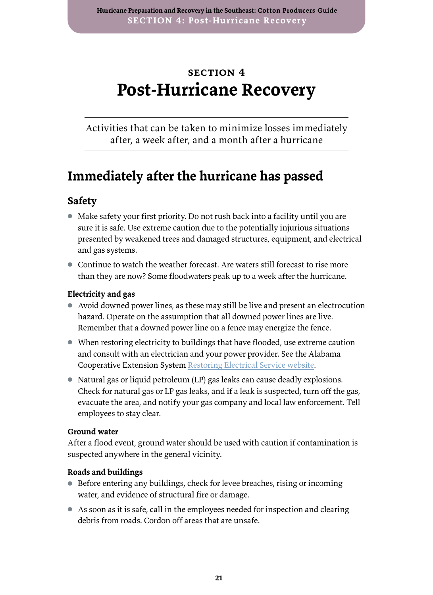## <span id="page-24-0"></span>**section 4 Post-Hurricane Recovery**

Activities that can be taken to minimize losses immediately after, a week after, and a month after a hurricane

## **Immediately after the hurricane has passed**

### **Safety**

- Make safety your first priority. Do not rush back into a facility until you are sure it is safe. Use extreme caution due to the potentially injurious situations presented by weakened trees and damaged structures, equipment, and electrical and gas systems.
- Continue to watch the weather forecast. Are waters still forecast to rise more than they are now? Some floodwaters peak up to a week after the hurricane.

#### **Electricity and gas**

- Avoid downed power lines, as these may still be live and present an electrocution hazard. Operate on the assumption that all downed power lines are live. Remember that a downed power line on a fence may energize the fence.
- When restoring electricity to buildings that have flooded, use extreme caution and consult with an electrician and your power provider. See the Alabama Cooperative Extension System [Restoring Electrical Service website.](https://www.aces.edu/blog/topics/emergency-handbook-home-family/restoring-electrical-service/)
- Natural gas or liquid petroleum (LP) gas leaks can cause deadly explosions. Check for natural gas or LP gas leaks, and if a leak is suspected, turn off the gas, evacuate the area, and notify your gas company and local law enforcement. Tell employees to stay clear.

#### **Ground water**

After a flood event, ground water should be used with caution if contamination is suspected anywhere in the general vicinity.

#### **Roads and buildings**

- Before entering any buildings, check for levee breaches, rising or incoming water, and evidence of structural fire or damage.
- As soon as it is safe, call in the employees needed for inspection and clearing debris from roads. Cordon off areas that are unsafe.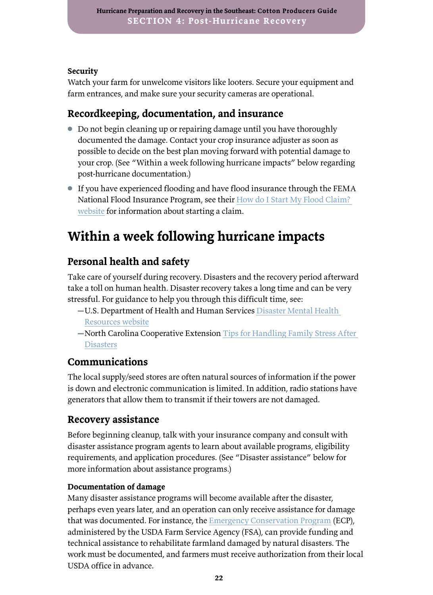#### <span id="page-25-0"></span>**Security**

Watch your farm for unwelcome visitors like looters. Secure your equipment and farm entrances, and make sure your security cameras are operational.

## **Recordkeeping, documentation, and insurance**

- Do not begin cleaning up or repairing damage until you have thoroughly documented the damage. Contact your crop insurance adjuster as soon as possible to decide on the best plan moving forward with potential damage to your crop. (See "Within a week following hurricane impacts" below regarding post-hurricane documentation.)
- If you have experienced flooding and have flood insurance through the FEMA National Flood Insurance Program, see their [How do I Start My Flood Claim?](https://www.floodsmart.gov/start)  [website](https://www.floodsmart.gov/start) for information about starting a claim.

## **Within a week following hurricane impacts**

## **Personal health and safety**

Take care of yourself during recovery. Disasters and the recovery period afterward take a toll on human health. Disaster recovery takes a long time and can be very stressful. For guidance to help you through this difficult time, see:

- ▬U.S. Department of Health and Human Services [Disaster Mental Health](https://www.phe.gov/emergency/events/sandy/Pages/mental-health.aspx)
- [Resources website](https://www.phe.gov/emergency/events/sandy/Pages/mental-health.aspx)
- ▬North Carolina Cooperative Extension [Tips for Handling Family Stress After](https://ncdisaster.ces.ncsu.edu/2018/09/tips-for-handling-family-stress-after-a-disaster/)  **[Disasters](https://ncdisaster.ces.ncsu.edu/2018/09/tips-for-handling-family-stress-after-a-disaster/)**

#### **Communications**

The local supply/seed stores are often natural sources of information if the power is down and electronic communication is limited. In addition, radio stations have generators that allow them to transmit if their towers are not damaged.

### **Recovery assistance**

Before beginning cleanup, talk with your insurance company and consult with disaster assistance program agents to learn about available programs, eligibility requirements, and application procedures. (See "Disaster assistance" below for more information about assistance programs.)

#### **Documentation of damage**

Many disaster assistance programs will become available after the disaster, perhaps even years later, and an operation can only receive assistance for damage that was documented. For instance, the [Emergency Conservation Program](https://www.fsa.usda.gov/programs-and-services/conservation-programs/emergency-conservation/index) (ECP), administered by the USDA Farm Service Agency (FSA), can provide funding and technical assistance to rehabilitate farmland damaged by natural disasters. The work must be documented, and farmers must receive authorization from their local USDA office in advance.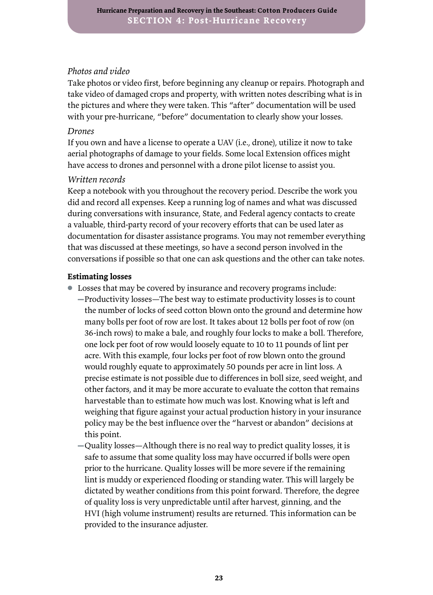#### *Photos and video*

Take photos or video first, before beginning any cleanup or repairs. Photograph and take video of damaged crops and property, with written notes describing what is in the pictures and where they were taken. This "after" documentation will be used with your pre-hurricane, "before" documentation to clearly show your losses.

#### *Drones*

If you own and have a license to operate a UAV (i.e., drone), utilize it now to take aerial photographs of damage to your fields. Some local Extension offices might have access to drones and personnel with a drone pilot license to assist you.

#### *Written records*

Keep a notebook with you throughout the recovery period. Describe the work you did and record all expenses. Keep a running log of names and what was discussed during conversations with insurance, State, and Federal agency contacts to create a valuable, third-party record of your recovery efforts that can be used later as documentation for disaster assistance programs. You may not remember everything that was discussed at these meetings, so have a second person involved in the conversations if possible so that one can ask questions and the other can take notes.

#### **Estimating losses**

- Losses that may be covered by insurance and recovery programs include:
	- ▬Productivity losses—The best way to estimate productivity losses is to count the number of locks of seed cotton blown onto the ground and determine how many bolls per foot of row are lost. It takes about 12 bolls per foot of row (on 36-inch rows) to make a bale, and roughly four locks to make a boll. Therefore, one lock per foot of row would loosely equate to 10 to 11 pounds of lint per acre. With this example, four locks per foot of row blown onto the ground would roughly equate to approximately 50 pounds per acre in lint loss. A precise estimate is not possible due to differences in boll size, seed weight, and other factors, and it may be more accurate to evaluate the cotton that remains harvestable than to estimate how much was lost. Knowing what is left and weighing that figure against your actual production history in your insurance policy may be the best influence over the "harvest or abandon" decisions at this point.
	- ▬Quality losses—Although there is no real way to predict quality losses, it is safe to assume that some quality loss may have occurred if bolls were open prior to the hurricane. Quality losses will be more severe if the remaining lint is muddy or experienced flooding or standing water. This will largely be dictated by weather conditions from this point forward. Therefore, the degree of quality loss is very unpredictable until after harvest, ginning, and the HVI (high volume instrument) results are returned. This information can be provided to the insurance adjuster.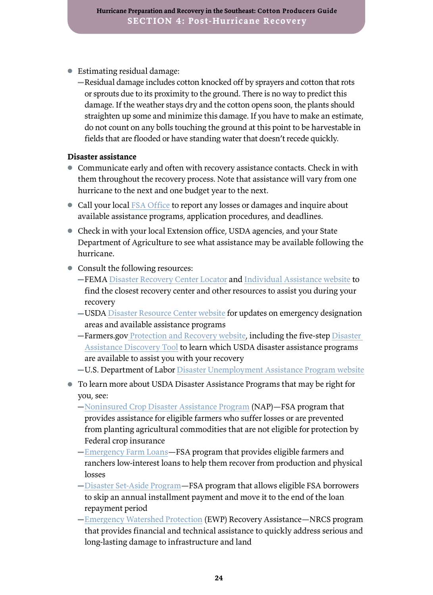- Estimating residual damage:
	- ▬Residual damage includes cotton knocked off by sprayers and cotton that rots or sprouts due to its proximity to the ground. There is no way to predict this damage. If the weather stays dry and the cotton opens soon, the plants should straighten up some and minimize this damage. If you have to make an estimate, do not count on any bolls touching the ground at this point to be harvestable in fields that are flooded or have standing water that doesn't recede quickly.

#### **Disaster assistance**

- Communicate early and often with recovery assistance contacts. Check in with them throughout the recovery process. Note that assistance will vary from one hurricane to the next and one budget year to the next.
- Call your local [FSA Office](https://offices.sc.egov.usda.gov/locator/app) to report any losses or damages and inquire about available assistance programs, application procedures, and deadlines.
- Check in with your local Extension office, USDA agencies, and your State Department of Agriculture to see what assistance may be available following the hurricane.
- Consult the following resources:
	- **-FEMA** [Disaster Recovery Center Locator](http://www.usda.gov/topics/disaster-resource-center) and [Individual Assistance website](http://www.fema.gov/assistance/individual) to find the closest recovery center and other resources to assist you during your recovery
	- **–USDA** [Disaster Resource Center website](http://www.usda.gov/topics/disaster-resource-center) for updates on emergency designation areas and available assistance programs
	- ▬[Farmers.gov](https://www.farmers.gov/recover
) [Protection and Recovery website,](https://www.farmers.gov/protection-recovery) including the five-step [Disaster](https://www.farmers.gov/recover/disaster-assistance-tool#step-1)  [Assistance Discovery Tool](https://www.farmers.gov/recover/disaster-assistance-tool#step-1) to learn which USDA disaster assistance programs are available to assist you with your recovery
	- ▬U.S. Department of Labor [Disaster Unemployment Assistance Program website](https://oui.doleta.gov/unemploy/disaster.asp)
- To learn more about USDA Disaster Assistance Programs that may be right for you, see:
	- $-$ [Noninsured Crop Disaster Assistance Program](https://www.fsa.usda.gov/programs-and-services/disaster-assistance-program/noninsured-crop-disaster-assistance/index) (NAP)—FSA program that provides assistance for eligible farmers who suffer losses or are prevented from planting agricultural commodities that are not eligible for protection by Federal crop insurance
	- $-$ [Emergency Farm Loans](https://www.fsa.usda.gov/programs-and-services/farm-loan-programs/emergency-farm-loans/index)-FSA program that provides eligible farmers and ranchers low-interest loans to help them recover from production and physical losses
	- $-D$ isaster Set-Aside Program—FSA program that allows eligible FSA borrowers to skip an annual installment payment and move it to the end of the loan repayment period
	- ▬[Emergency Watershed Protection](https://www.nrcs.usda.gov/wps/portal/nrcs/detail/national/programs/landscape/ewpp/?cid=nrcseprd1381472) (EWP) Recovery Assistance—NRCS program that provides financial and technical assistance to quickly address serious and long-lasting damage to infrastructure and land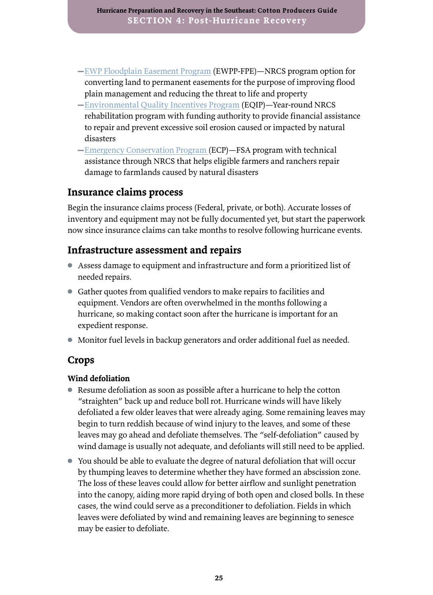- ▬[EWP Floodplain Easement Program](https://www.nrcs.usda.gov/wps/portal/nrcs/detail/national/programs/landscape/ewpp/?cid=nrcs143_008216) (EWPP-FPE)—NRCS program option for converting land to permanent easements for the purpose of improving flood plain management and reducing the threat to life and property
- $-$ [Environmental Quality Incentives Program](https://www.nrcs.usda.gov/Internet/FSE_MEDIA/nrcseprd1429025.pdf) (EQIP)—Year-round NRCS rehabilitation program with funding authority to provide financial assistance to repair and prevent excessive soil erosion caused or impacted by natural disasters
- $-$ [Emergency Conservation Program](https://www.fsa.usda.gov/programs-and-services/conservation-programs/emergency-conservation/index) (ECP)—FSA program with technical assistance through NRCS that helps eligible farmers and ranchers repair damage to farmlands caused by natural disasters

#### **Insurance claims process**

Begin the insurance claims process (Federal, private, or both). Accurate losses of inventory and equipment may not be fully documented yet, but start the paperwork now since insurance claims can take months to resolve following hurricane events.

#### **Infrastructure assessment and repairs**

- Assess damage to equipment and infrastructure and form a prioritized list of needed repairs.
- Gather quotes from qualified vendors to make repairs to facilities and equipment. Vendors are often overwhelmed in the months following a hurricane, so making contact soon after the hurricane is important for an expedient response.
- Monitor fuel levels in backup generators and order additional fuel as needed.

#### **Crops**

#### **Wind defoliation**

- Resume defoliation as soon as possible after a hurricane to help the cotton "straighten" back up and reduce boll rot. Hurricane winds will have likely defoliated a few older leaves that were already aging. Some remaining leaves may begin to turn reddish because of wind injury to the leaves, and some of these leaves may go ahead and defoliate themselves. The "self-defoliation" caused by wind damage is usually not adequate, and defoliants will still need to be applied.
- You should be able to evaluate the degree of natural defoliation that will occur by thumping leaves to determine whether they have formed an abscission zone. The loss of these leaves could allow for better airflow and sunlight penetration into the canopy, aiding more rapid drying of both open and closed bolls. In these cases, the wind could serve as a preconditioner to defoliation. Fields in which leaves were defoliated by wind and remaining leaves are beginning to senesce may be easier to defoliate.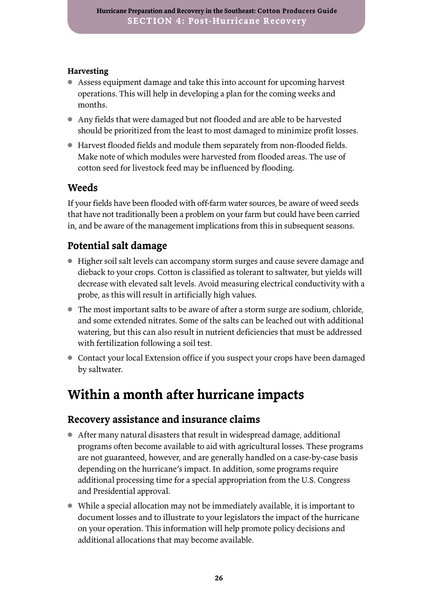#### <span id="page-29-0"></span>**Harvesting**

- Assess equipment damage and take this into account for upcoming harvest operations. This will help in developing a plan for the coming weeks and months.
- Any fields that were damaged but not flooded and are able to be harvested should be prioritized from the least to most damaged to minimize profit losses.
- Harvest flooded fields and module them separately from non-flooded fields. Make note of which modules were harvested from flooded areas. The use of cotton seed for livestock feed may be influenced by flooding.

### **Weeds**

If your fields have been flooded with off-farm water sources, be aware of weed seeds that have not traditionally been a problem on your farm but could have been carried in, and be aware of the management implications from this in subsequent seasons.

## **Potential salt damage**

- Higher soil salt levels can accompany storm surges and cause severe damage and dieback to your crops. Cotton is classified as tolerant to saltwater, but yields will decrease with elevated salt levels. Avoid measuring electrical conductivity with a probe, as this will result in artificially high values.
- The most important salts to be aware of after a storm surge are sodium, chloride, and some extended nitrates. Some of the salts can be leached out with additional watering, but this can also result in nutrient deficiencies that must be addressed with fertilization following a soil test.
- Contact your local Extension office if you suspect your crops have been damaged by saltwater.

## **Within a month after hurricane impacts**

#### **Recovery assistance and insurance claims**

- After many natural disasters that result in widespread damage, additional programs often become available to aid with agricultural losses. These programs are not guaranteed, however, and are generally handled on a case-by-case basis depending on the hurricane's impact. In addition, some programs require additional processing time for a special appropriation from the U.S. Congress and Presidential approval.
- While a special allocation may not be immediately available, it is important to document losses and to illustrate to your legislators the impact of the hurricane on your operation. This information will help promote policy decisions and additional allocations that may become available.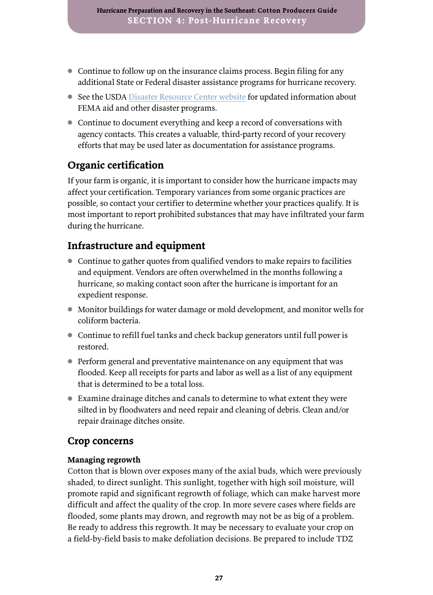- Continue to follow up on the insurance claims process. Begin filing for any additional State or Federal disaster assistance programs for hurricane recovery.
- See the USDA [Disaster Resource Center](https://www.usda.gov/topics/disaster-resource-center) [website](https://www.usda.gov/topics/disaster-resource-center
) for updated information about FEMA aid and other disaster programs.
- Continue to document everything and keep a record of conversations with agency contacts. This creates a valuable, third-party record of your recovery efforts that may be used later as documentation for assistance programs.

### **Organic certification**

If your farm is organic, it is important to consider how the hurricane impacts may affect your certification. Temporary variances from some organic practices are possible, so contact your certifier to determine whether your practices qualify. It is most important to report prohibited substances that may have infiltrated your farm during the hurricane.

### **Infrastructure and equipment**

- Continue to gather quotes from qualified vendors to make repairs to facilities and equipment. Vendors are often overwhelmed in the months following a hurricane, so making contact soon after the hurricane is important for an expedient response.
- Monitor buildings for water damage or mold development, and monitor wells for coliform bacteria.
- Continue to refill fuel tanks and check backup generators until full power is restored.
- Perform general and preventative maintenance on any equipment that was flooded. Keep all receipts for parts and labor as well as a list of any equipment that is determined to be a total loss.
- Examine drainage ditches and canals to determine to what extent they were silted in by floodwaters and need repair and cleaning of debris. Clean and/or repair drainage ditches onsite.

#### **Crop concerns**

#### **Managing regrowth**

Cotton that is blown over exposes many of the axial buds, which were previously shaded, to direct sunlight. This sunlight, together with high soil moisture, will promote rapid and significant regrowth of foliage, which can make harvest more difficult and affect the quality of the crop. In more severe cases where fields are flooded, some plants may drown, and regrowth may not be as big of a problem. Be ready to address this regrowth. It may be necessary to evaluate your crop on a field-by-field basis to make defoliation decisions. Be prepared to include TDZ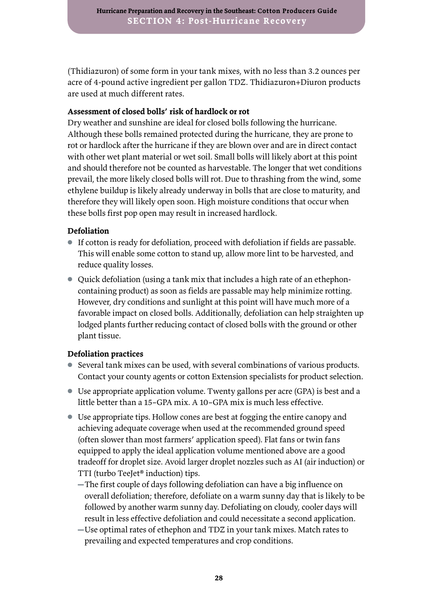(Thidiazuron) of some form in your tank mixes, with no less than 3.2 ounces per acre of 4-pound active ingredient per gallon TDZ. Thidiazuron+Diuron products are used at much different rates.

#### **Assessment of closed bolls' risk of hardlock or rot**

Dry weather and sunshine are ideal for closed bolls following the hurricane. Although these bolls remained protected during the hurricane, they are prone to rot or hardlock after the hurricane if they are blown over and are in direct contact with other wet plant material or wet soil. Small bolls will likely abort at this point and should therefore not be counted as harvestable. The longer that wet conditions prevail, the more likely closed bolls will rot. Due to thrashing from the wind, some ethylene buildup is likely already underway in bolls that are close to maturity, and therefore they will likely open soon. High moisture conditions that occur when these bolls first pop open may result in increased hardlock.

#### **Defoliation**

- If cotton is ready for defoliation, proceed with defoliation if fields are passable. This will enable some cotton to stand up, allow more lint to be harvested, and reduce quality losses.
- Quick defoliation (using a tank mix that includes a high rate of an ethephoncontaining product) as soon as fields are passable may help minimize rotting. However, dry conditions and sunlight at this point will have much more of a favorable impact on closed bolls. Additionally, defoliation can help straighten up lodged plants further reducing contact of closed bolls with the ground or other plant tissue.

#### **Defoliation practices**

- Several tank mixes can be used, with several combinations of various products. Contact your county agents or cotton Extension specialists for product selection.
- Use appropriate application volume. Twenty gallons per acre (GPA) is best and a little better than a 15–GPA mix. A 10–GPA mix is much less effective.
- Use appropriate tips. Hollow cones are best at fogging the entire canopy and achieving adequate coverage when used at the recommended ground speed (often slower than most farmers' application speed). Flat fans or twin fans equipped to apply the ideal application volume mentioned above are a good tradeoff for droplet size. Avoid larger droplet nozzles such as AI (air induction) or TTI (turbo TeeJet® induction) tips.
	- ▬The first couple of days following defoliation can have a big influence on overall defoliation; therefore, defoliate on a warm sunny day that is likely to be followed by another warm sunny day. Defoliating on cloudy, cooler days will result in less effective defoliation and could necessitate a second application.
	- ▬Use optimal rates of ethephon and TDZ in your tank mixes. Match rates to prevailing and expected temperatures and crop conditions.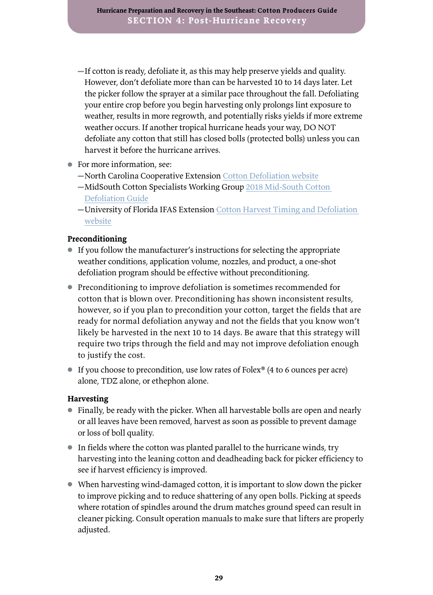- $-If$  cotton is ready, defoliate it, as this may help preserve yields and quality. However, don't defoliate more than can be harvested 10 to 14 days later. Let the picker follow the sprayer at a similar pace throughout the fall. Defoliating your entire crop before you begin harvesting only prolongs lint exposure to weather, results in more regrowth, and potentially risks yields if more extreme weather occurs. If another tropical hurricane heads your way, DO NOT defoliate any cotton that still has closed bolls (protected bolls) unless you can harvest it before the hurricane arrives.
- For more information, see:
	- ▬North Carolina Cooperative Extension [Cotton Defoliation website](https://content.ces.ncsu.edu/cotton-information/cotton-defoliation)
	- $-MidSouth Cottom Specialists Working Group 2018 Mid-South Cottom$ [Defoliation Guide](http://www.mississippi-crops.com/wp-content/uploads/2018/08/W376_2018.pdf)
	- ▬University of Florida IFAS Extension [Cotton Harvest Timing and Defoliation](http://blogs.ifas.ufl.edu/santarosaco/2012/09/14/cotton-harvest-timing-and-defoliation/)  [website](http://blogs.ifas.ufl.edu/santarosaco/2012/09/14/cotton-harvest-timing-and-defoliation/)

#### **Preconditioning**

- If you follow the manufacturer's instructions for selecting the appropriate weather conditions, application volume, nozzles, and product, a one-shot defoliation program should be effective without preconditioning.
- Preconditioning to improve defoliation is sometimes recommended for cotton that is blown over. Preconditioning has shown inconsistent results, however, so if you plan to precondition your cotton, target the fields that are ready for normal defoliation anyway and not the fields that you know won't likely be harvested in the next 10 to 14 days. Be aware that this strategy will require two trips through the field and may not improve defoliation enough to justify the cost.
- If you choose to precondition, use low rates of Folex<sup>®</sup> (4 to 6 ounces per acre) alone, TDZ alone, or ethephon alone.

#### **Harvesting**

- Finally, be ready with the picker. When all harvestable bolls are open and nearly or all leaves have been removed, harvest as soon as possible to prevent damage or loss of boll quality.
- In fields where the cotton was planted parallel to the hurricane winds, try harvesting into the leaning cotton and deadheading back for picker efficiency to see if harvest efficiency is improved.
- When harvesting wind-damaged cotton, it is important to slow down the picker to improve picking and to reduce shattering of any open bolls. Picking at speeds where rotation of spindles around the drum matches ground speed can result in cleaner picking. Consult operation manuals to make sure that lifters are properly adjusted.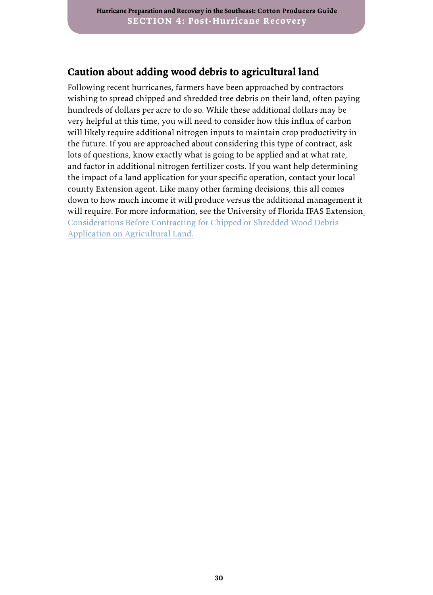### **Caution about adding wood debris to agricultural land**

Following recent hurricanes, farmers have been approached by contractors wishing to spread chipped and shredded tree debris on their land, often paying hundreds of dollars per acre to do so. While these additional dollars may be very helpful at this time, you will need to consider how this influx of carbon will likely require additional nitrogen inputs to maintain crop productivity in the future. If you are approached about considering this type of contract, ask lots of questions, know exactly what is going to be applied and at what rate, and factor in additional nitrogen fertilizer costs. If you want help determining the impact of a land application for your specific operation, contact your local county Extension agent. Like many other farming decisions, this all comes down to how much income it will produce versus the additional management it will require. For more information, see the University of Florida IFAS Extension [Considerations Before Contracting for Chipped or Shredded Wood Debris](https://nwdistrict.ifas.ufl.edu/phag/2019/03/01/considerations-before-contracting-for-chipped-or-shredded-wood-debris-application-on-agricultural-land/)  [Application on Agricultural Land.](https://nwdistrict.ifas.ufl.edu/phag/2019/03/01/considerations-before-contracting-for-chipped-or-shredded-wood-debris-application-on-agricultural-land/)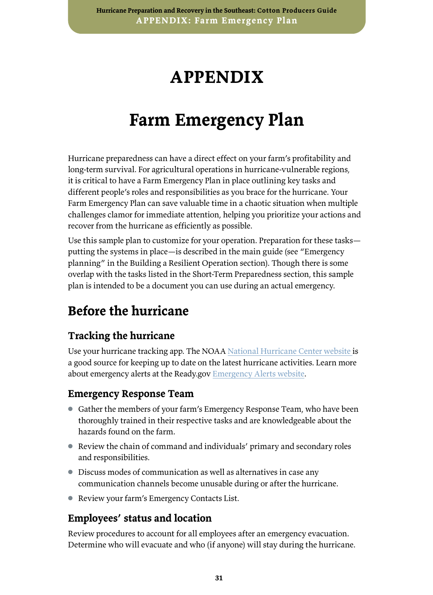## **APPENDIX**

## **Farm Emergency Plan**

<span id="page-34-0"></span>Hurricane preparedness can have a direct effect on your farm's profitability and long-term survival. For agricultural operations in hurricane-vulnerable regions, it is critical to have a Farm Emergency Plan in place outlining key tasks and different people's roles and responsibilities as you brace for the hurricane. Your Farm Emergency Plan can save valuable time in a chaotic situation when multiple challenges clamor for immediate attention, helping you prioritize your actions and recover from the hurricane as efficiently as possible.

Use this sample plan to customize for your operation. Preparation for these tasks putting the systems in place—is described in the main guide (see "Emergency planning" in the Building a Resilient Operation section). Though there is some overlap with the tasks listed in the Short-Term Preparedness section, this sample plan is intended to be a document you can use during an actual emergency.

## **Before the hurricane**

### **Tracking the hurricane**

Use your hurricane tracking app. The NOAA [National Hurricane Center website i](https://www.nhc.noaa.gov/)s a good source for keeping up to date on the latest hurricane activities. Learn more about emergency alerts at the Ready.gov [Emergency Alerts website.](https://www.ready.gov/alerts)

#### **Emergency Response Team**

- Gather the members of your farm's Emergency Response Team, who have been thoroughly trained in their respective tasks and are knowledgeable about the hazards found on the farm.
- Review the chain of command and individuals' primary and secondary roles and responsibilities.
- Discuss modes of communication as well as alternatives in case any communication channels become unusable during or after the hurricane.
- Review your farm's Emergency Contacts List.

### **Employees' status and location**

Review procedures to account for all employees after an emergency evacuation. Determine who will evacuate and who (if anyone) will stay during the hurricane.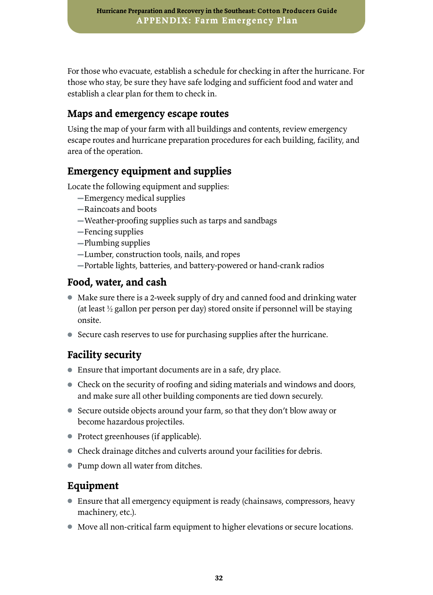For those who evacuate, establish a schedule for checking in after the hurricane. For those who stay, be sure they have safe lodging and sufficient food and water and establish a clear plan for them to check in.

### **Maps and emergency escape routes**

Using the map of your farm with all buildings and contents, review emergency escape routes and hurricane preparation procedures for each building, facility, and area of the operation.

### **Emergency equipment and supplies**

Locate the following equipment and supplies:

- ▬Emergency medical supplies
- ▬Raincoats and boots
- ▬Weather-proofing supplies such as tarps and sandbags
- ▬Fencing supplies
- ▬Plumbing supplies
- ▬Lumber, construction tools, nails, and ropes
- ▬Portable lights, batteries, and battery-powered or hand-crank radios

### **Food, water, and cash**

- Make sure there is a 2-week supply of dry and canned food and drinking water (at least ½ gallon per person per day) stored onsite if personnel will be staying onsite.
- Secure cash reserves to use for purchasing supplies after the hurricane.

## **Facility security**

- Ensure that important documents are in a safe, dry place.
- Check on the security of roofing and siding materials and windows and doors, and make sure all other building components are tied down securely.
- Secure outside objects around your farm, so that they don't blow away or become hazardous projectiles.
- Protect greenhouses (if applicable).
- Check drainage ditches and culverts around your facilities for debris.
- Pump down all water from ditches.

### **Equipment**

- Ensure that all emergency equipment is ready (chainsaws, compressors, heavy machinery, etc.).
- Move all non-critical farm equipment to higher elevations or secure locations.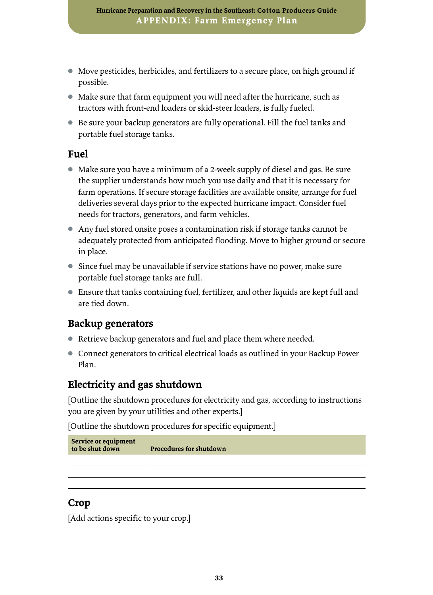- Move pesticides, herbicides, and fertilizers to a secure place, on high ground if possible.
- Make sure that farm equipment you will need after the hurricane, such as tractors with front-end loaders or skid-steer loaders, is fully fueled.
- Be sure your backup generators are fully operational. Fill the fuel tanks and portable fuel storage tanks.

#### **Fuel**

- Make sure you have a minimum of a 2-week supply of diesel and gas. Be sure the supplier understands how much you use daily and that it is necessary for farm operations. If secure storage facilities are available onsite, arrange for fuel deliveries several days prior to the expected hurricane impact. Consider fuel needs for tractors, generators, and farm vehicles.
- Any fuel stored onsite poses a contamination risk if storage tanks cannot be adequately protected from anticipated flooding. Move to higher ground or secure in place.
- Since fuel may be unavailable if service stations have no power, make sure portable fuel storage tanks are full.
- Ensure that tanks containing fuel, fertilizer, and other liquids are kept full and are tied down.

#### **Backup generators**

- Retrieve backup generators and fuel and place them where needed.
- Connect generators to critical electrical loads as outlined in your Backup Power Plan.

#### **Electricity and gas shutdown**

[Outline the shutdown procedures for electricity and gas, according to instructions you are given by your utilities and other experts.]

[Outline the shutdown procedures for specific equipment.]

| Service or equipment<br>to be shut down | <b>Procedures for shutdown</b> |
|-----------------------------------------|--------------------------------|
|                                         |                                |
|                                         |                                |
|                                         |                                |

#### **Crop**

[Add actions specific to your crop.]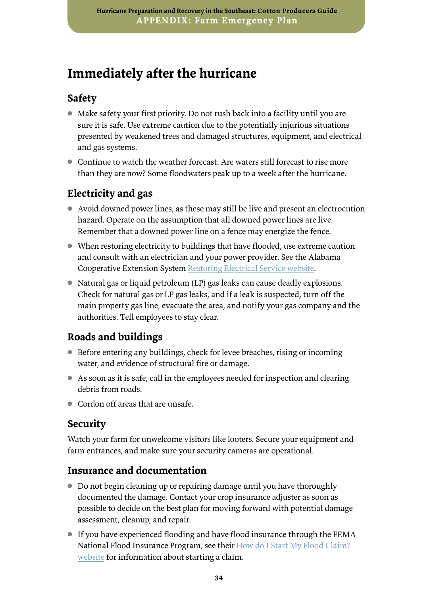## <span id="page-37-0"></span>**Immediately after the hurricane**

### **Safety**

- Make safety your first priority. Do not rush back into a facility until you are sure it is safe. Use extreme caution due to the potentially injurious situations presented by weakened trees and damaged structures, equipment, and electrical and gas systems.
- Continue to watch the weather forecast. Are waters still forecast to rise more than they are now? Some floodwaters peak up to a week after the hurricane.

## **Electricity and gas**

- Avoid downed power lines, as these may still be live and present an electrocution hazard. Operate on the assumption that all downed power lines are live. Remember that a downed power line on a fence may energize the fence.
- When restoring electricity to buildings that have flooded, use extreme caution and consult with an electrician and your power provider. See the Alabama Cooperative Extension System [Restoring Electrical Service website.](https://www.aces.edu/blog/topics/emergency-handbook-home-family/restoring-electrical-service/)
- Natural gas or liquid petroleum (LP) gas leaks can cause deadly explosions. Check for natural gas or LP gas leaks, and if a leak is suspected, turn off the main property gas line, evacuate the area, and notify your gas company and the authorities. Tell employees to stay clear.

## **Roads and buildings**

- Before entering any buildings, check for levee breaches, rising or incoming water, and evidence of structural fire or damage.
- As soon as it is safe, call in the employees needed for inspection and clearing debris from roads.
- Cordon off areas that are unsafe.

### **Security**

Watch your farm for unwelcome visitors like looters. Secure your equipment and farm entrances, and make sure your security cameras are operational.

### **Insurance and documentation**

- Do not begin cleaning up or repairing damage until you have thoroughly documented the damage. Contact your crop insurance adjuster as soon as possible to decide on the best plan for moving forward with potential damage assessment, cleanup, and repair.
- If you have experienced flooding and have flood insurance through the FEMA National Flood Insurance Program, see their [How do I Start My Flood Claim?](https://www.floodsmart.gov/start)  [website](https://www.floodsmart.gov/start) for information about starting a claim.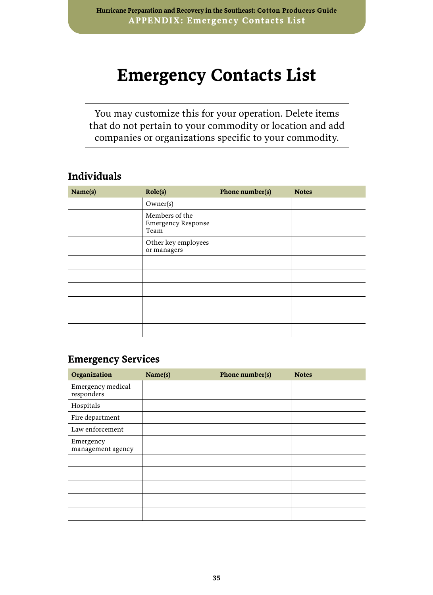## <span id="page-38-0"></span>**Emergency Contacts List**

You may customize this for your operation. Delete items that do not pertain to your commodity or location and add companies or organizations specific to your commodity.

### **Individuals**

| Name(s) | Role(s)                                             | Phone number(s) | <b>Notes</b> |
|---------|-----------------------------------------------------|-----------------|--------------|
|         | Owner(s)                                            |                 |              |
|         | Members of the<br><b>Emergency Response</b><br>Team |                 |              |
|         | Other key employees<br>or managers                  |                 |              |
|         |                                                     |                 |              |
|         |                                                     |                 |              |
|         |                                                     |                 |              |
|         |                                                     |                 |              |
|         |                                                     |                 |              |
|         |                                                     |                 |              |

#### **Emergency Services**

| Organization                    | Name(s) | Phone number(s) | <b>Notes</b> |
|---------------------------------|---------|-----------------|--------------|
| Emergency medical<br>responders |         |                 |              |
| Hospitals                       |         |                 |              |
| Fire department                 |         |                 |              |
| Law enforcement                 |         |                 |              |
| Emergency<br>management agency  |         |                 |              |
|                                 |         |                 |              |
|                                 |         |                 |              |
|                                 |         |                 |              |
|                                 |         |                 |              |
|                                 |         |                 |              |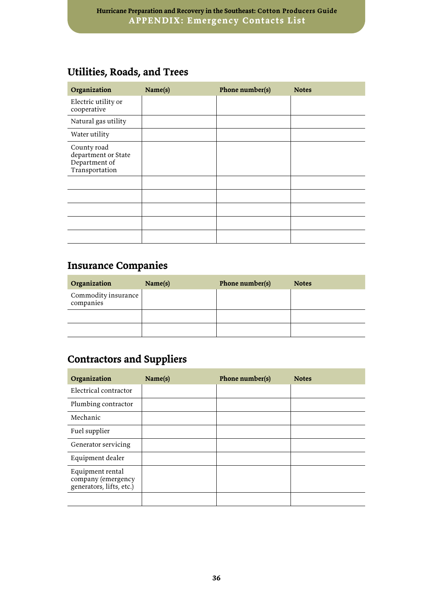## **Utilities, Roads, and Trees**

| Organization                                                          | Name(s) | Phone number(s) | <b>Notes</b> |
|-----------------------------------------------------------------------|---------|-----------------|--------------|
| Electric utility or<br>cooperative                                    |         |                 |              |
| Natural gas utility                                                   |         |                 |              |
| Water utility                                                         |         |                 |              |
| County road<br>department or State<br>Department of<br>Transportation |         |                 |              |
|                                                                       |         |                 |              |
|                                                                       |         |                 |              |
|                                                                       |         |                 |              |
|                                                                       |         |                 |              |
|                                                                       |         |                 |              |

## **Insurance Companies**

| Organization                     | Name(s) | Phone number(s) | <b>Notes</b> |
|----------------------------------|---------|-----------------|--------------|
| Commodity insurance<br>companies |         |                 |              |
|                                  |         |                 |              |
|                                  |         |                 |              |

## **Contractors and Suppliers**

| Organization                                                       | Name(s) | Phone number(s) | <b>Notes</b> |
|--------------------------------------------------------------------|---------|-----------------|--------------|
| Electrical contractor                                              |         |                 |              |
| Plumbing contractor                                                |         |                 |              |
| Mechanic                                                           |         |                 |              |
| Fuel supplier                                                      |         |                 |              |
| Generator servicing                                                |         |                 |              |
| Equipment dealer                                                   |         |                 |              |
| Equipment rental<br>company (emergency<br>generators, lifts, etc.) |         |                 |              |
|                                                                    |         |                 |              |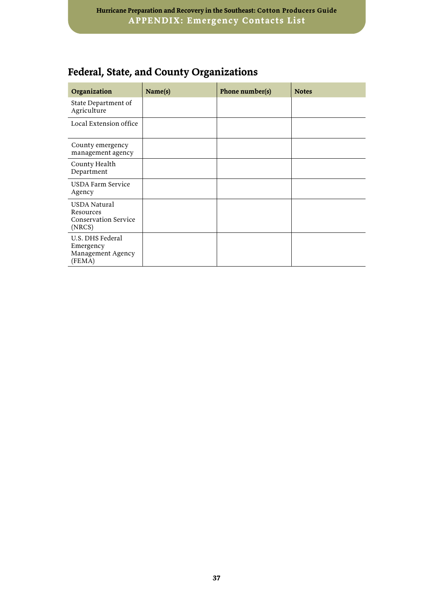## **Federal, State, and County Organizations**

| Organization                                                       | Name(s) | Phone number(s) | <b>Notes</b> |
|--------------------------------------------------------------------|---------|-----------------|--------------|
| State Department of<br>Agriculture                                 |         |                 |              |
| Local Extension office                                             |         |                 |              |
| County emergency<br>management agency                              |         |                 |              |
| County Health<br>Department                                        |         |                 |              |
| USDA Farm Service<br>Agency                                        |         |                 |              |
| USDA Natural<br>Resources<br><b>Conservation Service</b><br>(NRCS) |         |                 |              |
| U.S. DHS Federal<br>Emergency<br>Management Agency<br>(FEMA)       |         |                 |              |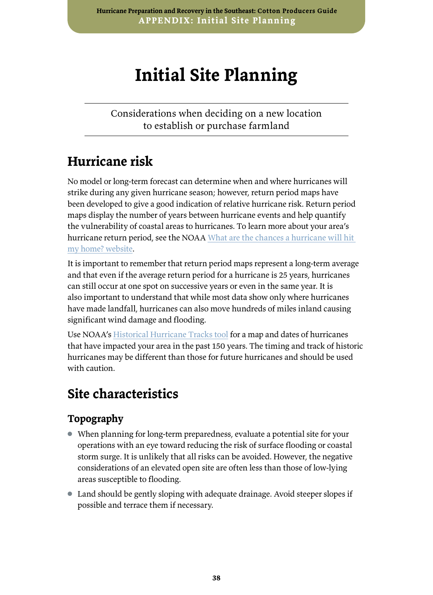## <span id="page-41-0"></span>**Initial Site Planning**

Considerations when deciding on a new location to establish or purchase farmland

## **Hurricane risk**

No model or long-term forecast can determine when and where hurricanes will strike during any given hurricane season; however, return period maps have been developed to give a good indication of relative hurricane risk. Return period maps display the number of years between hurricane events and help quantify the vulnerability of coastal areas to hurricanes. To learn more about your area's hurricane return period, see the NOAA [What are the chances a hurricane will hit](https://www.noaa.gov/stories/what-are-chances-hurricane-will-hit-my-home)  [my home? website](https://www.noaa.gov/stories/what-are-chances-hurricane-will-hit-my-home).

It is important to remember that return period maps represent a long-term average and that even if the average return period for a hurricane is 25 years, hurricanes can still occur at one spot on successive years or even in the same year. It is also important to understand that while most data show only where hurricanes have made landfall, hurricanes can also move hundreds of miles inland causing significant wind damage and flooding.

Use NOAA's [Historical Hurricane Tracks tool](https://oceanservice.noaa.gov/news/historical-hurricanes/) for a map and dates of hurricanes that have impacted your area in the past 150 years. The timing and track of historic hurricanes may be different than those for future hurricanes and should be used with caution.

## **Site characteristics**

### **Topography**

- When planning for long-term preparedness, evaluate a potential site for your operations with an eye toward reducing the risk of surface flooding or coastal storm surge. It is unlikely that all risks can be avoided. However, the negative considerations of an elevated open site are often less than those of low-lying areas susceptible to flooding.
- Land should be gently sloping with adequate drainage. Avoid steeper slopes if possible and terrace them if necessary.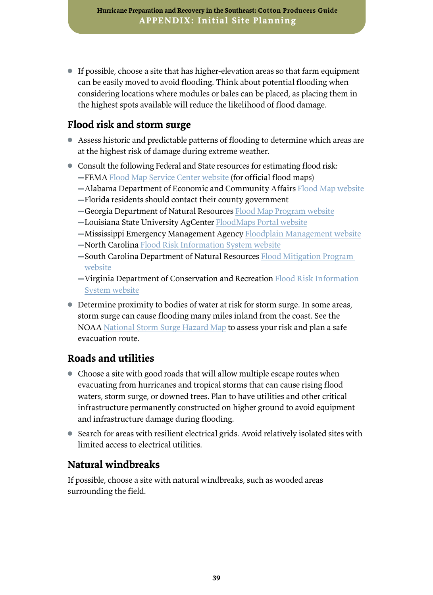● If possible, choose a site that has higher-elevation areas so that farm equipment can be easily moved to avoid flooding. Think about potential flooding when considering locations where modules or bales can be placed, as placing them in the highest spots available will reduce the likelihood of flood damage.

### **Flood risk and storm surge**

- Assess historic and predictable patterns of flooding to determine which areas are at the highest risk of damage during extreme weather.
- Consult the following Federal and State resources for estimating flood risk: **-FEMA [Flood Map Service Center website](https://msc.fema.gov/portal/home
) (for official flood maps)** 
	- ▬Alabama Department of Economic and Community Affairs [Flood Map website](https://alabamaflood.com/map)
	- ▬Florida residents should contact their county government
	- ▬Georgia Department of Natural Resources [Flood Map Program website](http://map.georgiadfirm.com/)
	- ▬Louisiana State University AgCenter [FloodMaps Portal website](https://www.lsuagcenter.com/topics/family_home/home/design_construction/laws licenses permits/getting a permit/your flood zone/flood_maps)
	- **−Mississippi Emergency Management Agency [Floodplain Management website](https://www.msema.org/preparedness-2/floodplain-management/)**
	- -North Carolina [Flood Risk Information System website](https://fris.nc.gov/fris/Home.aspx?ST=NC)
	- -South Carolina Department of Natural Resources Flood Mitigation Program [website](http://dnr.sc.gov/water/flood/mgrsinfo.html)
	- $-$ Virginia Department of Conservation and Recreation Flood Risk Information [System website](https://www.dcr.virginia.gov/dam-safety-and-floodplains/fpvfris)
- Determine proximity to bodies of water at risk for storm surge. In some areas, storm surge can cause flooding many miles inland from the coast. See the NOAA [National Storm Surge Hazard Map](https://noaa.maps.arcgis.com/apps/MapSeries/index.html?appid=d9ed7904dbec441a9c4dd7b277935fad&entry=1) to assess your risk and plan a safe evacuation route.

### **Roads and utilities**

- Choose a site with good roads that will allow multiple escape routes when evacuating from hurricanes and tropical storms that can cause rising flood waters, storm surge, or downed trees. Plan to have utilities and other critical infrastructure permanently constructed on higher ground to avoid equipment and infrastructure damage during flooding.
- Search for areas with resilient electrical grids. Avoid relatively isolated sites with limited access to electrical utilities.

### **Natural windbreaks**

If possible, choose a site with natural windbreaks, such as wooded areas surrounding the field.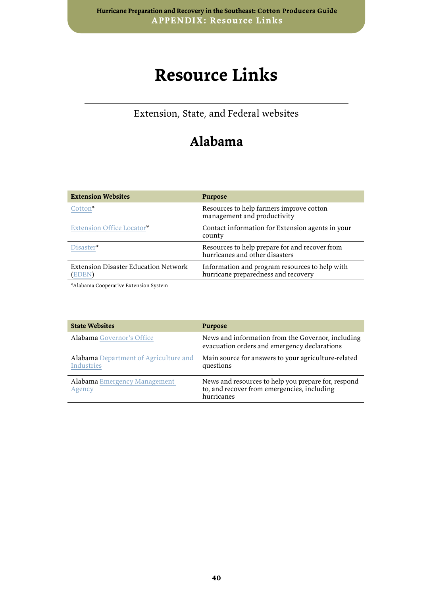## <span id="page-43-0"></span>**Resource Links**

Extension, State, and Federal websites

## **Alabama**

| <b>Extension Websites</b>                            | <b>Purpose</b>                                                                        |
|------------------------------------------------------|---------------------------------------------------------------------------------------|
| Cotton <sup>*</sup>                                  | Resources to help farmers improve cotton<br>management and productivity               |
| Extension Office Locator*                            | Contact information for Extension agents in your<br>county                            |
| Disaster*                                            | Resources to help prepare for and recover from<br>hurricanes and other disasters      |
| <b>Extension Disaster Education Network</b><br>EDEN) | Information and program resources to help with<br>hurricane preparedness and recovery |

\*Alabama Cooperative Extension System

| <b>State Websites</b>                                      | <b>Purpose</b>                                                                                                   |
|------------------------------------------------------------|------------------------------------------------------------------------------------------------------------------|
| Alabama Governor's Office                                  | News and information from the Governor, including<br>evacuation orders and emergency declarations                |
| Alabama Department of Agriculture and<br><b>Industries</b> | Main source for answers to your agriculture-related<br>questions                                                 |
| <b>Alabama</b> Emergency Management<br>Agency              | News and resources to help you prepare for, respond<br>to, and recover from emergencies, including<br>hurricanes |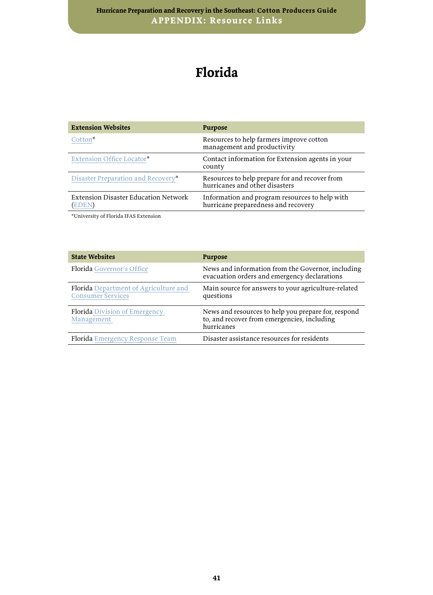## **Florida**

| <b>Extension Websites</b>                     | <b>Purpose</b>                                                                        |
|-----------------------------------------------|---------------------------------------------------------------------------------------|
| Cotton <sup>*</sup>                           | Resources to help farmers improve cotton<br>management and productivity               |
| Extension Office Locator*                     | Contact information for Extension agents in your<br>county                            |
| Disaster Preparation and Recovery*            | Resources to help prepare for and recover from<br>hurricanes and other disasters      |
| Extension Disaster Education Network<br>EDEN) | Information and program resources to help with<br>hurricane preparedness and recovery |
|                                               |                                                                                       |

\*University of Florida IFAS Extension

| <b>State Websites</b>                                             | <b>Purpose</b>                                                                                                   |
|-------------------------------------------------------------------|------------------------------------------------------------------------------------------------------------------|
| Florida Governor's Office                                         | News and information from the Governor, including<br>evacuation orders and emergency declarations                |
| Florida Department of Agriculture and<br><b>Consumer Services</b> | Main source for answers to your agriculture-related<br>questions                                                 |
| Florida Division of Emergency<br>Management                       | News and resources to help you prepare for, respond<br>to, and recover from emergencies, including<br>hurricanes |
| <b>Florida</b> Emergency Response Team                            | Disaster assistance resources for residents                                                                      |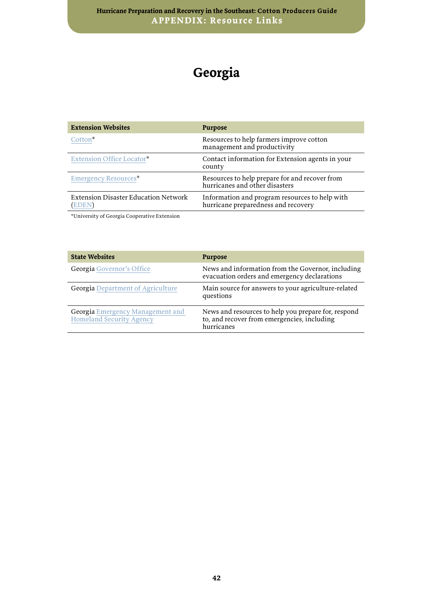## **Georgia**

| <b>Extension Websites</b>                     | <b>Purpose</b>                                                                        |
|-----------------------------------------------|---------------------------------------------------------------------------------------|
| Cotton <sup>*</sup>                           | Resources to help farmers improve cotton<br>management and productivity               |
| Extension Office Locator*                     | Contact information for Extension agents in your<br>county                            |
| Emergency Resources*                          | Resources to help prepare for and recover from<br>hurricanes and other disasters      |
| Extension Disaster Education Network<br>EDEN) | Information and program resources to help with<br>hurricane preparedness and recovery |

\*University of Georgia Cooperative Extension

| <b>State Websites</b>                                               | <b>Purpose</b>                                                                                                   |
|---------------------------------------------------------------------|------------------------------------------------------------------------------------------------------------------|
| Georgia Governor's Office                                           | News and information from the Governor, including<br>evacuation orders and emergency declarations                |
| <b>Georgia Department of Agriculture</b>                            | Main source for answers to your agriculture-related<br>questions                                                 |
| Georgia Emergency Management and<br><b>Homeland Security Agency</b> | News and resources to help you prepare for, respond<br>to, and recover from emergencies, including<br>hurricanes |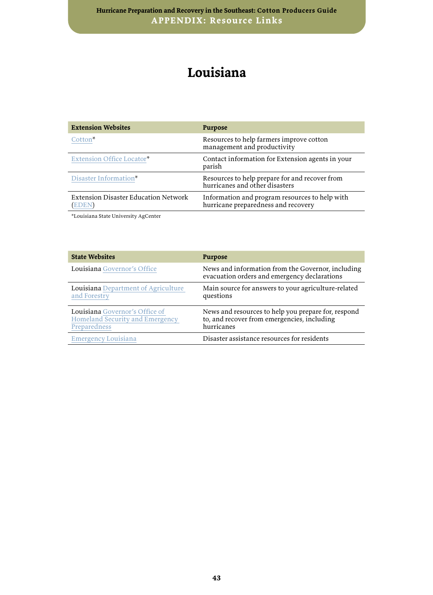## **Louisiana**

| <b>Extension Websites</b>                           | <b>Purpose</b>                                                                        |
|-----------------------------------------------------|---------------------------------------------------------------------------------------|
| Cotton <sup>*</sup>                                 | Resources to help farmers improve cotton<br>management and productivity               |
| Extension Office Locator*                           | Contact information for Extension agents in your<br>parish                            |
| Disaster Information*                               | Resources to help prepare for and recover from<br>hurricanes and other disasters      |
| Extension Disaster Education Network<br><b>EDEN</b> | Information and program resources to help with<br>hurricane preparedness and recovery |

\*Louisiana State University AgCenter

| <b>State Websites</b>                                                             | <b>Purpose</b>                                                                                                   |
|-----------------------------------------------------------------------------------|------------------------------------------------------------------------------------------------------------------|
| Louisiana Governor's Office                                                       | News and information from the Governor, including<br>evacuation orders and emergency declarations                |
| Louisiana Department of Agriculture<br>and Forestry                               | Main source for answers to your agriculture-related<br>questions                                                 |
| Louisiana Governor's Office of<br>Homeland Security and Emergency<br>Preparedness | News and resources to help you prepare for, respond<br>to, and recover from emergencies, including<br>hurricanes |
| <b>Emergency Louisiana</b>                                                        | Disaster assistance resources for residents                                                                      |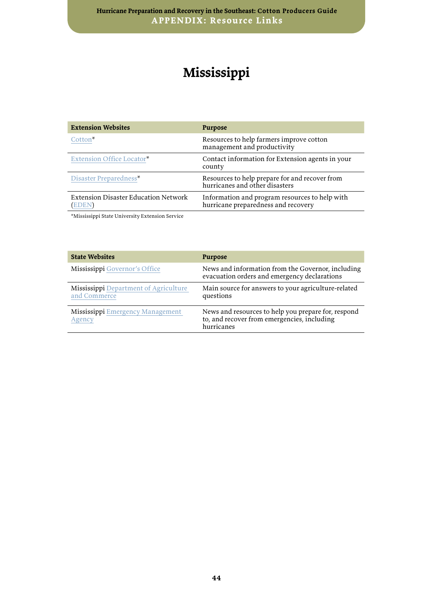## **Mississippi**

| <b>Extension Websites</b>                     | <b>Purpose</b>                                                                        |
|-----------------------------------------------|---------------------------------------------------------------------------------------|
| $C$ otton <sup>*</sup>                        | Resources to help farmers improve cotton<br>management and productivity               |
| Extension Office Locator*                     | Contact information for Extension agents in your<br>county                            |
| Disaster Preparedness*                        | Resources to help prepare for and recover from<br>hurricanes and other disasters      |
| Extension Disaster Education Network<br>EDEN) | Information and program resources to help with<br>hurricane preparedness and recovery |

\*Mississippi State University Extension Service

| <b>State Websites</b>                                 | <b>Purpose</b>                                                                                                   |
|-------------------------------------------------------|------------------------------------------------------------------------------------------------------------------|
| Mississippi Governor's Office                         | News and information from the Governor, including<br>evacuation orders and emergency declarations                |
| Mississippi Department of Agriculture<br>and Commerce | Main source for answers to your agriculture-related<br>questions                                                 |
| Mississippi Emergency Management<br>Agency            | News and resources to help you prepare for, respond<br>to, and recover from emergencies, including<br>hurricanes |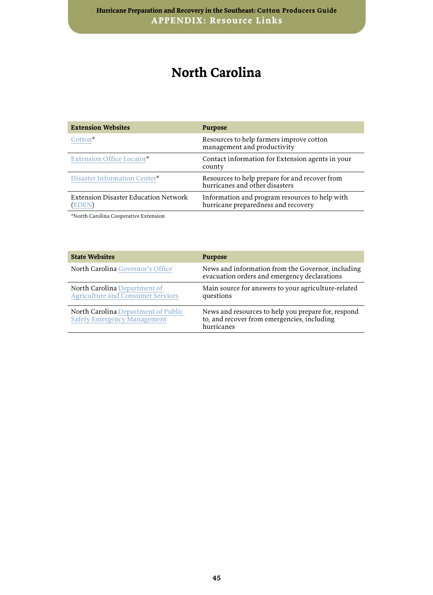## **North Carolina**

| <b>Extension Websites</b>                           | <b>Purpose</b>                                                                        |
|-----------------------------------------------------|---------------------------------------------------------------------------------------|
| Cotton <sup>*</sup>                                 | Resources to help farmers improve cotton<br>management and productivity               |
| Extension Office Locator*                           | Contact information for Extension agents in your<br>county                            |
| Disaster Information Center*                        | Resources to help prepare for and recover from<br>hurricanes and other disasters      |
| Extension Disaster Education Network<br><b>EDEN</b> | Information and program resources to help with<br>hurricane preparedness and recovery |

\*North Carolina Cooperative Extension

| <b>State Websites</b>                                                     | <b>Purpose</b>                                                                                                   |
|---------------------------------------------------------------------------|------------------------------------------------------------------------------------------------------------------|
| North Carolina Governor's Office                                          | News and information from the Governor, including<br>evacuation orders and emergency declarations                |
| North Carolina Department of<br><b>Agriculture and Consumer Services</b>  | Main source for answers to your agriculture-related<br>questions                                                 |
| North Carolina Department of Public<br><b>Safety Emergency Management</b> | News and resources to help you prepare for, respond<br>to, and recover from emergencies, including<br>hurricanes |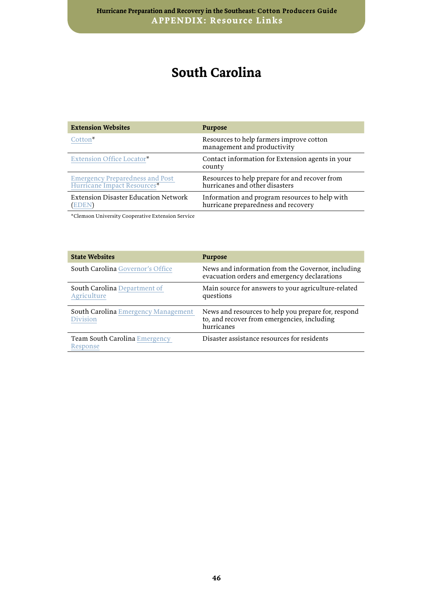## **South Carolina**

| <b>Extension Websites</b>                                             | <b>Purpose</b>                                                                        |
|-----------------------------------------------------------------------|---------------------------------------------------------------------------------------|
| Cotton <sup>*</sup>                                                   | Resources to help farmers improve cotton<br>management and productivity               |
| Extension Office Locator*                                             | Contact information for Extension agents in your<br>county                            |
| <b>Emergency Preparedness and Post</b><br>Hurricane Impact Resources* | Resources to help prepare for and recover from<br>hurricanes and other disasters      |
| Extension Disaster Education Network<br>EDEN)                         | Information and program resources to help with<br>hurricane preparedness and recovery |

\*Clemson University Cooperative Extension Service

| <b>State Websites</b>                              | <b>Purpose</b>                                                                                                   |
|----------------------------------------------------|------------------------------------------------------------------------------------------------------------------|
| <b>South Carolina</b> Governor's Office            | News and information from the Governor, including<br>evacuation orders and emergency declarations                |
| <b>South Carolina Department of</b><br>Agriculture | Main source for answers to your agriculture-related<br>questions                                                 |
| South Carolina Emergency Management<br>Division    | News and resources to help you prepare for, respond<br>to, and recover from emergencies, including<br>hurricanes |
| Team South Carolina Emergency<br>Response          | Disaster assistance resources for residents                                                                      |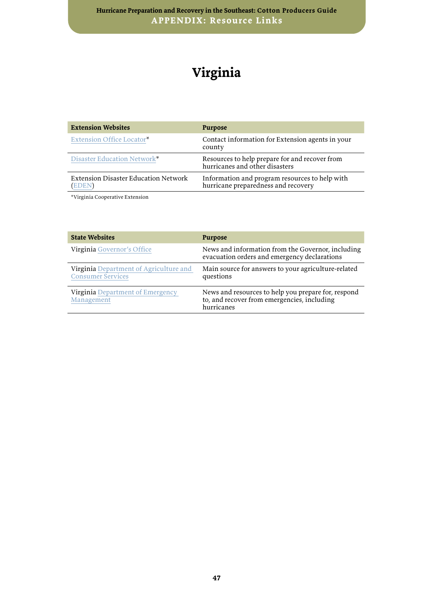## **Virginia**

| <b>Extension Websites</b>                     | <b>Purpose</b>                                                                        |
|-----------------------------------------------|---------------------------------------------------------------------------------------|
| Extension Office Locator*                     | Contact information for Extension agents in your<br>county                            |
| Disaster Education Network*                   | Resources to help prepare for and recover from<br>hurricanes and other disasters      |
| Extension Disaster Education Network<br>EDEN) | Information and program resources to help with<br>hurricane preparedness and recovery |

\*Virginia Cooperative Extension

| <b>State Websites</b>                                              | <b>Purpose</b>                                                                                                   |
|--------------------------------------------------------------------|------------------------------------------------------------------------------------------------------------------|
| Virginia Governor's Office                                         | News and information from the Governor, including<br>evacuation orders and emergency declarations                |
| Virginia Department of Agriculture and<br><b>Consumer Services</b> | Main source for answers to your agriculture-related<br>questions                                                 |
| Virginia Department of Emergency<br>Management                     | News and resources to help you prepare for, respond<br>to, and recover from emergencies, including<br>hurricanes |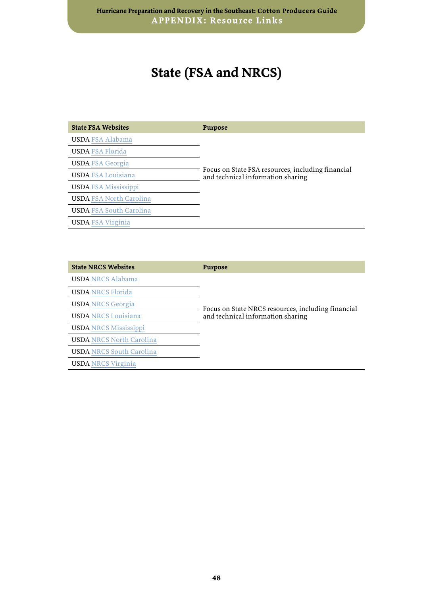## **State (FSA and NRCS)**

| <b>State FSA Websites</b>      | <b>Purpose</b>                                                                         |
|--------------------------------|----------------------------------------------------------------------------------------|
| <b>USDA FSA Alabama</b>        |                                                                                        |
| <b>USDA FSA Florida</b>        |                                                                                        |
| <b>USDA FSA Georgia</b>        |                                                                                        |
| <b>USDA FSA Louisiana</b>      | Focus on State FSA resources, including financial<br>and technical information sharing |
| <b>USDA FSA Mississippi</b>    |                                                                                        |
| <b>USDA FSA North Carolina</b> |                                                                                        |
| <b>USDA FSA South Carolina</b> |                                                                                        |
| <b>USDA FSA Virginia</b>       |                                                                                        |

| <b>State NRCS Websites</b>      | <b>Purpose</b>                                                                          |
|---------------------------------|-----------------------------------------------------------------------------------------|
| <b>USDA NRCS Alabama</b>        |                                                                                         |
| <b>USDA NRCS Florida</b>        | Focus on State NRCS resources, including financial<br>and technical information sharing |
| <b>USDA NRCS Georgia</b>        |                                                                                         |
| <b>USDA NRCS Louisiana</b>      |                                                                                         |
| <b>USDA NRCS Mississippi</b>    |                                                                                         |
| <b>USDA NRCS North Carolina</b> |                                                                                         |
| <b>USDA NRCS South Carolina</b> |                                                                                         |
| <b>USDA NRCS Virginia</b>       |                                                                                         |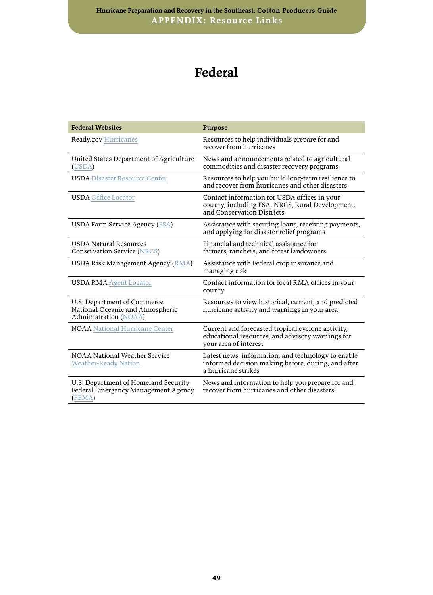## **Federal**

| <b>Federal Websites</b>                                                                  | <b>Purpose</b>                                                                                                                  |
|------------------------------------------------------------------------------------------|---------------------------------------------------------------------------------------------------------------------------------|
| Ready.gov Hurricanes                                                                     | Resources to help individuals prepare for and<br>recover from hurricanes                                                        |
| United States Department of Agriculture<br>(USDA)                                        | News and announcements related to agricultural<br>commodities and disaster recovery programs                                    |
| <b>USDA</b> Disaster Resource Center                                                     | Resources to help you build long-term resilience to<br>and recover from hurricanes and other disasters                          |
| <b>USDA Office Locator</b>                                                               | Contact information for USDA offices in your<br>county, including FSA, NRCS, Rural Development,<br>and Conservation Districts   |
| USDA Farm Service Agency (FSA)                                                           | Assistance with securing loans, receiving payments,<br>and applying for disaster relief programs                                |
| <b>USDA Natural Resources</b><br><b>Conservation Service (NRCS)</b>                      | Financial and technical assistance for<br>farmers, ranchers, and forest landowners                                              |
| USDA Risk Management Agency (RMA)                                                        | Assistance with Federal crop insurance and<br>managing risk                                                                     |
| <b>USDA RMA Agent Locator</b>                                                            | Contact information for local RMA offices in your<br>county                                                                     |
| U.S. Department of Commerce<br>National Oceanic and Atmospheric<br>Administration (NOAA) | Resources to view historical, current, and predicted<br>hurricane activity and warnings in your area                            |
| <b>NOAA</b> National Hurricane Center                                                    | Current and forecasted tropical cyclone activity,<br>educational resources, and advisory warnings for<br>your area of interest  |
| NOAA National Weather Service<br><b>Weather-Ready Nation</b>                             | Latest news, information, and technology to enable<br>informed decision making before, during, and after<br>a hurricane strikes |
| U.S. Department of Homeland Security<br>Federal Emergency Management Agency<br>(FEMA)    | News and information to help you prepare for and<br>recover from hurricanes and other disasters                                 |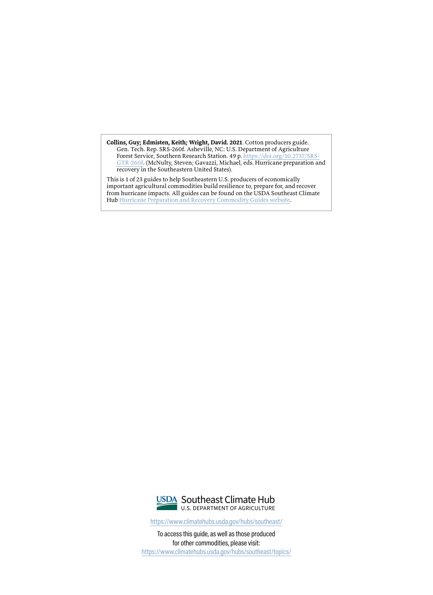**Collins, Guy; Edmisten, Keith; Wright, David. 2021**. Cotton producers guide. Gen. Tech. Rep. SRS-260f. Asheville, NC: U.S. Department of Agriculture Forest Service, Southern Research Station. 49 p. [https://doi.org/10.2737/SRS-](https://doi.org/10.2737/SRS-GTR-260f)[GTR-260f](https://doi.org/10.2737/SRS-GTR-260f). (McNulty, Steven; Gavazzi, Michael, eds. Hurricane preparation and recovery in the Southeastern United States).

This is 1 of 23 guides to help Southeastern U.S. producers of economically important agricultural commodities build resilience to, prepare for, and recover from hurricane impacts. All guides can be found on the USDA Southeast Climate Hub [Hurricane Preparation and Recovery Commodity Guides website.](https://www.climatehubs.usda.gov/hubs/southeast/topic/hurricane-preparation-and-recovery-southeast-us)



https://www.climatehubs.usda.gov/hubs/southeast/

To access this guide, as well as those produced for other commodities, please visit: [https://www.climatehubs.usda.gov/hubs/southeast/topics/](http://www.climatehubs.usda.gov/hubs/southeast/topic/hurricane-preparation-and-recovery-southeast-us)